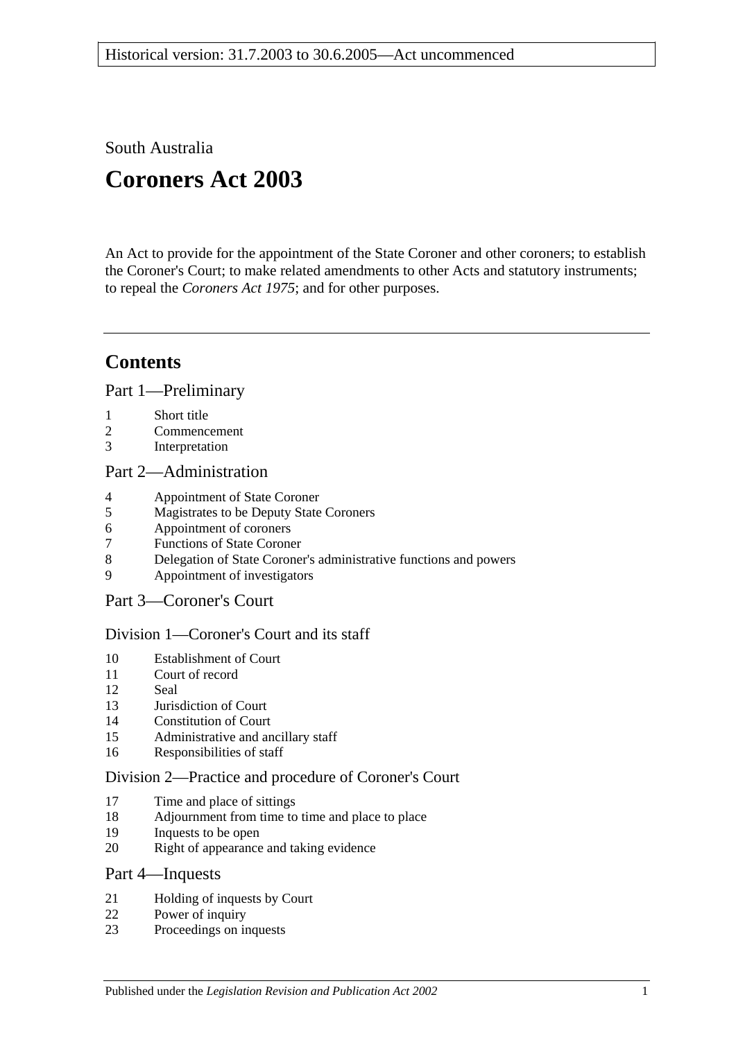South Australia

# **Coroners Act 2003**

An Act to provide for the appointment of the State Coroner and other coroners; to establish the Coroner's Court; to make related amendments to other Acts and statutory instruments; to repeal the *[Coroners Act](http://www.legislation.sa.gov.au/index.aspx?action=legref&type=act&legtitle=Coroners%20Act%201975) 1975*; and for other purposes.

## **Contents**

[Part 1—Preliminary](#page-2-0)

- 1 [Short title](#page-2-1)
- 2 [Commencement](#page-3-0)
- 3 [Interpretation](#page-3-1)

## [Part 2—Administration](#page-5-0)

- 4 [Appointment of State Coroner](#page-5-1)
- 5 [Magistrates to be Deputy State Coroners](#page-5-2)
- 6 [Appointment of coroners](#page-5-3)
- 7 [Functions of State Coroner](#page-5-4)
- 8 [Delegation of State Coroner's administrative functions and powers](#page-6-0)
- 9 [Appointment of investigators](#page-6-1)

## [Part 3—Coroner's Court](#page-6-2)

## [Division 1—Coroner's Court and its staff](#page-6-3)

- 10 [Establishment of Court](#page-6-4)
- 11 [Court of record](#page-6-5)
- 12 [Seal](#page-6-6)
- 13 [Jurisdiction of Court](#page-7-0)
- 14 [Constitution of Court](#page-7-1)
- 15 [Administrative and ancillary staff](#page-7-2)
- 16 [Responsibilities of staff](#page-7-3)

## [Division 2—Practice and procedure of Coroner's](#page-7-4) Court

- 17 [Time and place of sittings](#page-7-5)
- 18 [Adjournment from time to time and place to place](#page-7-6)
- 19 [Inquests to be open](#page-7-7)
- 20 [Right of appearance and taking evidence](#page-8-0)

## [Part 4—Inquests](#page-8-1)

- 21 [Holding of inquests by Court](#page-8-2)<br>22 Power of inquiry
- [Power of inquiry](#page-9-0)
- 23 [Proceedings on inquests](#page-10-0)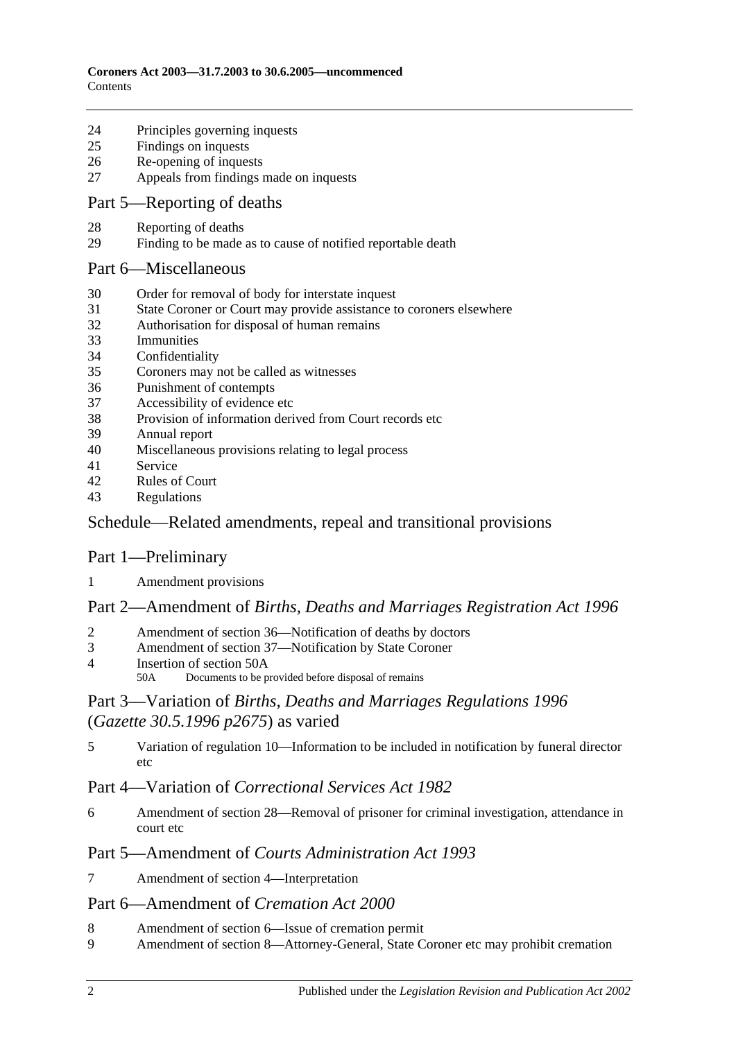- [Principles governing inquests](#page-11-0)
- [Findings on inquests](#page-11-1)
- [Re-opening of inquests](#page-12-0)
- [Appeals from findings made on inquests](#page-12-1)

## Part [5—Reporting of deaths](#page-13-0)

- [Reporting of deaths](#page-13-1)
- [Finding to be made as to cause of notified reportable death](#page-13-2)

#### [Part 6—Miscellaneous](#page-13-3)

- [Order for removal of body for interstate inquest](#page-13-4)
- [State Coroner or Court may provide assistance to coroners elsewhere](#page-14-0)
- [Authorisation for disposal of human remains](#page-14-1)
- [Immunities](#page-14-2)
- [Confidentiality](#page-14-3)
- [Coroners may not be called as witnesses](#page-15-0)
- [Punishment of contempts](#page-15-1)
- [Accessibility of evidence etc](#page-15-2)
- [Provision of information derived from Court records etc](#page-16-0)
- [Annual report](#page-16-1)
- [Miscellaneous provisions relating to legal process](#page-16-2)
- [Service](#page-16-3)
- [Rules of Court](#page-16-4)
- [Regulations](#page-17-0)

## [Schedule—Related amendments, repeal and transitional provisions](#page-17-1)

## Part 1—Preliminary

[Amendment provisions](#page-17-2)

## Part 2—Amendment of *Births, Deaths and Marriages Registration Act 1996*

- [Amendment of section 36—Notification of deaths by doctors](#page-17-3)
- [Amendment of section 37—Notification by State Coroner](#page-17-4)
- [Insertion of section 50A](#page-18-0)<br>50A Documents to be n
	- Documents to be provided before disposal of remains

## Part 3—Variation of *Births, Deaths and Marriages Regulations 1996* (*Gazette 30.5.1996 p2675*) as varied

 [Variation of regulation 10—Information to be included in notification by funeral director](#page-18-1)  [etc](#page-18-1)

## Part 4—Variation of *Correctional Services Act 1982*

 [Amendment of section 28—Removal of prisoner for criminal investigation, attendance in](#page-18-2)  [court etc](#page-18-2)

## Part 5—Amendment of *Courts Administration Act 1993*

[Amendment of section 4—Interpretation](#page-19-0)

## Part 6—Amendment of *Cremation Act 2000*

- [Amendment of section 6—Issue of cremation permit](#page-19-1)<br>9 Amendment of section 8—Attorney-General State C
- [Amendment of section 8—Attorney-General, State Coroner etc may prohibit cremation](#page-19-2)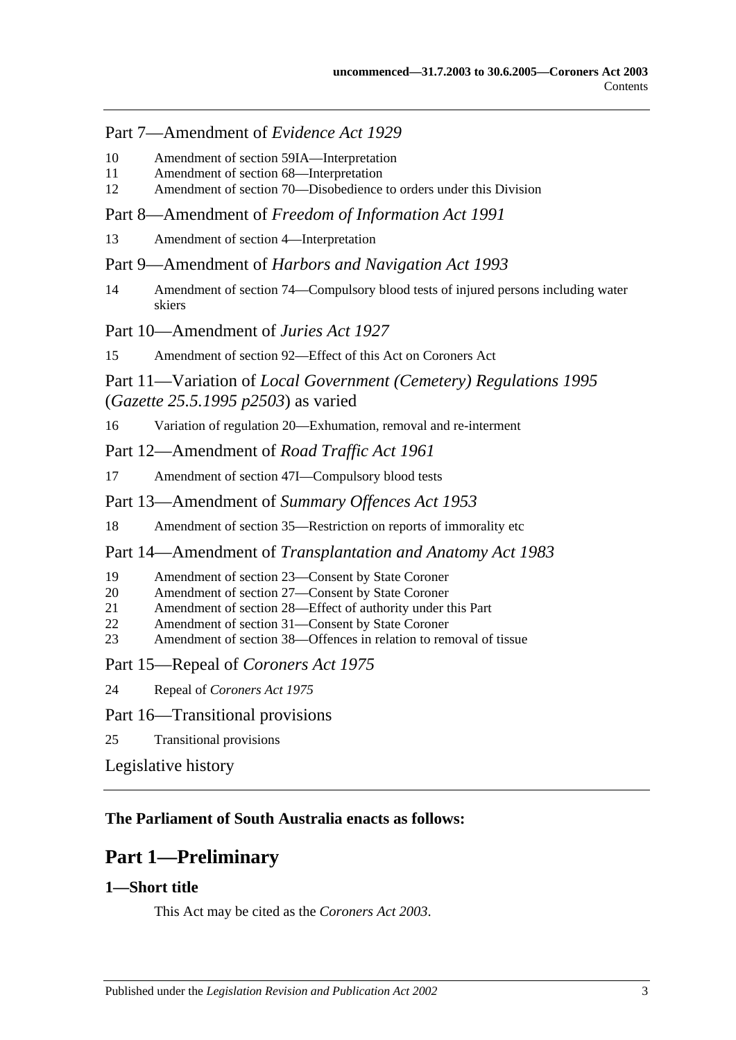## Part 7—Amendment of *Evidence Act 1929*

- 10 [Amendment of section 59IA—Interpretation](#page-19-3)
- 11 [Amendment of section 68—Interpretation](#page-19-4)
- 12 [Amendment of section 70—Disobedience to orders under this Division](#page-19-5)

Part 8—Amendment of *Freedom of Information Act 1991*

13 [Amendment of section 4—Interpretation](#page-20-0)

Part 9—Amendment of *Harbors and Navigation Act 1993*

14 [Amendment of section 74—Compulsory blood tests of injured persons including water](#page-20-1)  [skiers](#page-20-1)

Part 10—Amendment of *Juries Act 1927*

15 [Amendment of section 92—Effect of this Act on Coroners Act](#page-20-2)

## Part 11—Variation of *Local Government (Cemetery) Regulations 1995* (*Gazette 25.5.1995 p2503*) as varied

16 [Variation of regulation 20—Exhumation, removal and re-interment](#page-20-3)

Part 12—Amendment of *Road Traffic Act 1961*

- 17 [Amendment of section 47I—Compulsory blood tests](#page-20-4)
- Part 13—Amendment of *Summary Offences Act 1953*
- 18 [Amendment of section 35—Restriction on reports of immorality etc](#page-21-0)

Part 14—Amendment of *Transplantation and Anatomy Act 1983*

- 19 [Amendment of section 23—Consent by State Coroner](#page-21-1)
- 20 [Amendment of section 27—Consent by State Coroner](#page-21-2)
- 21 [Amendment of section 28—Effect of authority under this Part](#page-22-0)
- 22 [Amendment of section 31—Consent by State Coroner](#page-22-1)
- 23 [Amendment of section 38—Offences in relation to removal of tissue](#page-22-2)

Part 15—Repeal of *Coroners Act 1975*

24 Repeal of *[Coroners Act](#page-22-3) 1975*

## Part 16—Transitional provisions

25 [Transitional provisions](#page-23-0)

[Legislative history](#page-24-0)

## <span id="page-2-0"></span>**The Parliament of South Australia enacts as follows:**

## **Part 1—Preliminary**

## <span id="page-2-1"></span>**1—Short title**

This Act may be cited as the *Coroners Act 2003*.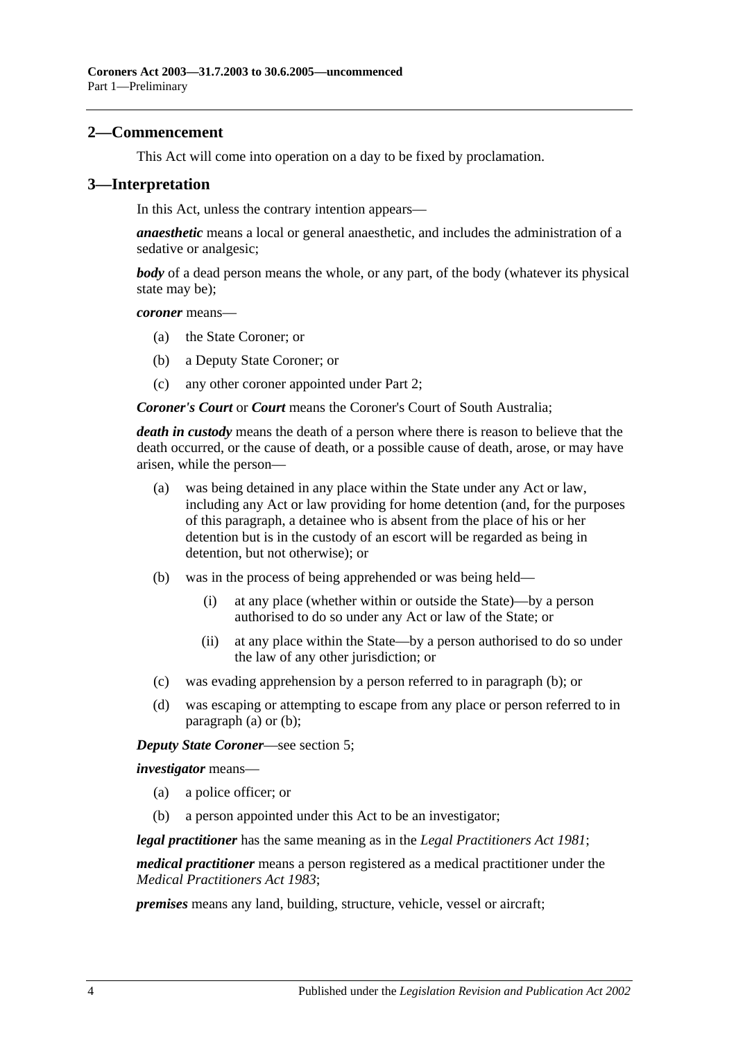#### <span id="page-3-0"></span>**2—Commencement**

This Act will come into operation on a day to be fixed by proclamation.

#### <span id="page-3-1"></span>**3—Interpretation**

In this Act, unless the contrary intention appears—

*anaesthetic* means a local or general anaesthetic, and includes the administration of a sedative or analgesic;

*body* of a dead person means the whole, or any part, of the body (whatever its physical state may be);

*coroner* means—

- (a) the State Coroner; or
- (b) a Deputy State Coroner; or
- (c) any other coroner appointed under [Part 2;](#page-5-0)

*Coroner's Court* or *Court* means the Coroner's Court of South Australia;

<span id="page-3-3"></span>*death in custody* means the death of a person where there is reason to believe that the death occurred, or the cause of death, or a possible cause of death, arose, or may have arisen, while the person—

- (a) was being detained in any place within the State under any Act or law, including any Act or law providing for home detention (and, for the purposes of this paragraph, a detainee who is absent from the place of his or her detention but is in the custody of an escort will be regarded as being in detention, but not otherwise); or
- <span id="page-3-2"></span>(b) was in the process of being apprehended or was being held—
	- (i) at any place (whether within or outside the State)—by a person authorised to do so under any Act or law of the State; or
	- (ii) at any place within the State—by a person authorised to do so under the law of any other jurisdiction; or
- (c) was evading apprehension by a person referred to in [paragraph](#page-3-2) (b); or
- (d) was escaping or attempting to escape from any place or person referred to in [paragraph](#page-3-3) (a) or [\(b\);](#page-3-2)

*Deputy State Coroner*—see [section](#page-5-2) 5;

*investigator* means—

- (a) a police officer; or
- (b) a person appointed under this Act to be an investigator;

*legal practitioner* has the same meaning as in the *[Legal Practitioners Act](http://www.legislation.sa.gov.au/index.aspx?action=legref&type=act&legtitle=Legal%20Practitioners%20Act%201981) 1981*;

*medical practitioner* means a person registered as a medical practitioner under the *[Medical Practitioners Act](http://www.legislation.sa.gov.au/index.aspx?action=legref&type=act&legtitle=Medical%20Practitioners%20Act%201983) 1983*;

*premises* means any land, building, structure, vehicle, vessel or aircraft;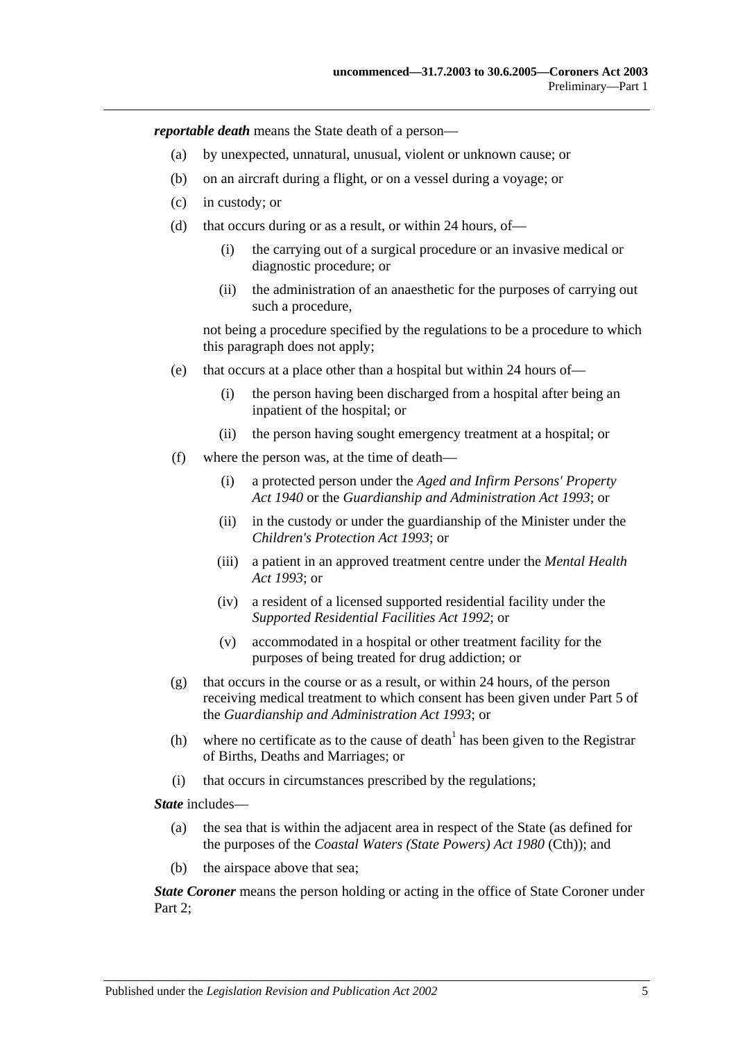*reportable death* means the State death of a person—

- (a) by unexpected, unnatural, unusual, violent or unknown cause; or
- (b) on an aircraft during a flight, or on a vessel during a voyage; or
- (c) in custody; or
- (d) that occurs during or as a result, or within 24 hours, of—
	- (i) the carrying out of a surgical procedure or an invasive medical or diagnostic procedure; or
	- (ii) the administration of an anaesthetic for the purposes of carrying out such a procedure,

not being a procedure specified by the regulations to be a procedure to which this paragraph does not apply;

- (e) that occurs at a place other than a hospital but within 24 hours of—
	- (i) the person having been discharged from a hospital after being an inpatient of the hospital; or
	- (ii) the person having sought emergency treatment at a hospital; or
- (f) where the person was, at the time of death—
	- (i) a protected person under the *[Aged and Infirm Persons' Property](http://www.legislation.sa.gov.au/index.aspx?action=legref&type=act&legtitle=Aged%20and%20Infirm%20Persons%20Property%20Act%201940)  Act [1940](http://www.legislation.sa.gov.au/index.aspx?action=legref&type=act&legtitle=Aged%20and%20Infirm%20Persons%20Property%20Act%201940)* or the *[Guardianship and Administration Act](http://www.legislation.sa.gov.au/index.aspx?action=legref&type=act&legtitle=Guardianship%20and%20Administration%20Act%201993) 1993*; or
	- (ii) in the custody or under the guardianship of the Minister under the *[Children's Protection Act](http://www.legislation.sa.gov.au/index.aspx?action=legref&type=act&legtitle=Childrens%20Protection%20Act%201993) 1993*; or
	- (iii) a patient in an approved treatment centre under the *[Mental Health](http://www.legislation.sa.gov.au/index.aspx?action=legref&type=act&legtitle=Mental%20Health%20Act%201993)  Act [1993](http://www.legislation.sa.gov.au/index.aspx?action=legref&type=act&legtitle=Mental%20Health%20Act%201993)*; or
	- (iv) a resident of a licensed supported residential facility under the *[Supported Residential Facilities Act](http://www.legislation.sa.gov.au/index.aspx?action=legref&type=act&legtitle=Supported%20Residential%20Facilities%20Act%201992) 1992*; or
	- (v) accommodated in a hospital or other treatment facility for the purposes of being treated for drug addiction; or
- (g) that occurs in the course or as a result, or within 24 hours, of the person receiving medical treatment to which consent has been given under Part 5 of the *[Guardianship and Administration Act](http://www.legislation.sa.gov.au/index.aspx?action=legref&type=act&legtitle=Guardianship%20and%20Administration%20Act%201993) 1993*; or
- (h) where no certificate as to the cause of death<sup>1</sup> has been given to the Registrar of Births, Deaths and Marriages; or
- (i) that occurs in circumstances prescribed by the regulations;

*State* includes—

- (a) the sea that is within the adjacent area in respect of the State (as defined for the purposes of the *Coastal Waters (State Powers) Act 1980* (Cth)); and
- (b) the airspace above that sea;

*State Coroner* means the person holding or acting in the office of State Coroner under Part 2: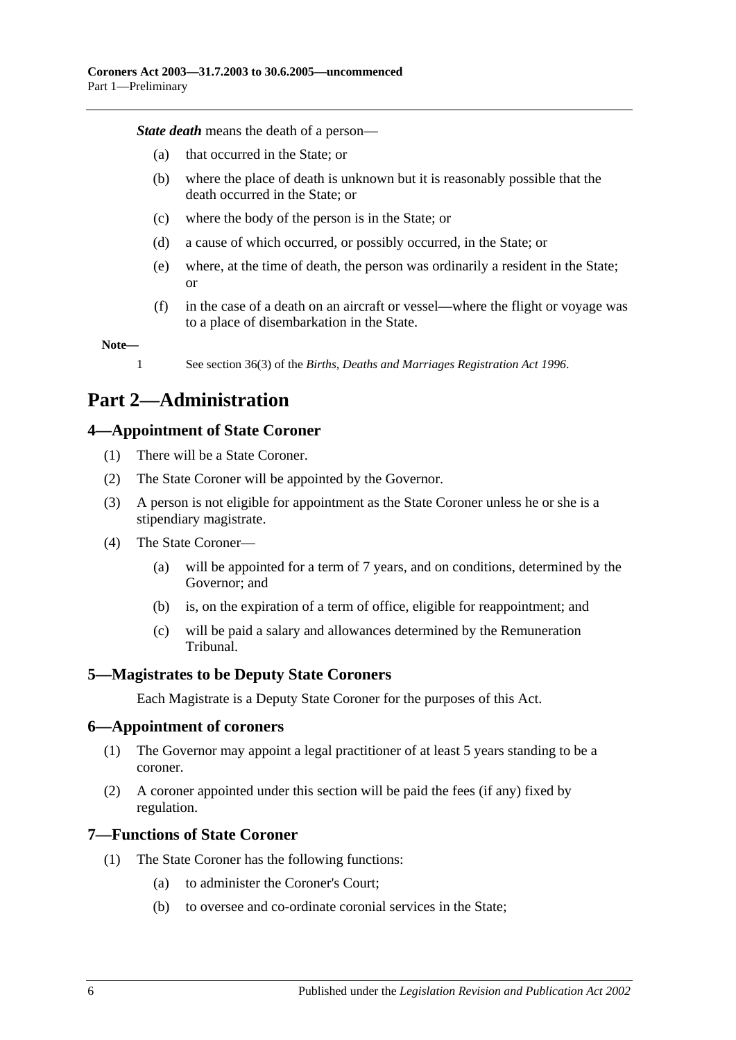*State death* means the death of a person—

- (a) that occurred in the State; or
- (b) where the place of death is unknown but it is reasonably possible that the death occurred in the State; or
- (c) where the body of the person is in the State; or
- (d) a cause of which occurred, or possibly occurred, in the State; or
- (e) where, at the time of death, the person was ordinarily a resident in the State; or
- (f) in the case of a death on an aircraft or vessel—where the flight or voyage was to a place of disembarkation in the State.

**Note—**

1 See section 36(3) of the *[Births, Deaths and Marriages Registration Act](http://www.legislation.sa.gov.au/index.aspx?action=legref&type=act&legtitle=Births%20Deaths%20and%20Marriages%20Registration%20Act%201996) 1996*.

## <span id="page-5-0"></span>**Part 2—Administration**

## <span id="page-5-1"></span>**4—Appointment of State Coroner**

- (1) There will be a State Coroner.
- (2) The State Coroner will be appointed by the Governor.
- (3) A person is not eligible for appointment as the State Coroner unless he or she is a stipendiary magistrate.
- (4) The State Coroner—
	- (a) will be appointed for a term of 7 years, and on conditions, determined by the Governor; and
	- (b) is, on the expiration of a term of office, eligible for reappointment; and
	- (c) will be paid a salary and allowances determined by the Remuneration Tribunal.

#### <span id="page-5-2"></span>**5—Magistrates to be Deputy State Coroners**

Each Magistrate is a Deputy State Coroner for the purposes of this Act.

#### <span id="page-5-3"></span>**6—Appointment of coroners**

- (1) The Governor may appoint a legal practitioner of at least 5 years standing to be a coroner.
- (2) A coroner appointed under this section will be paid the fees (if any) fixed by regulation.

#### <span id="page-5-4"></span>**7—Functions of State Coroner**

- (1) The State Coroner has the following functions:
	- (a) to administer the Coroner's Court;
	- (b) to oversee and co-ordinate coronial services in the State;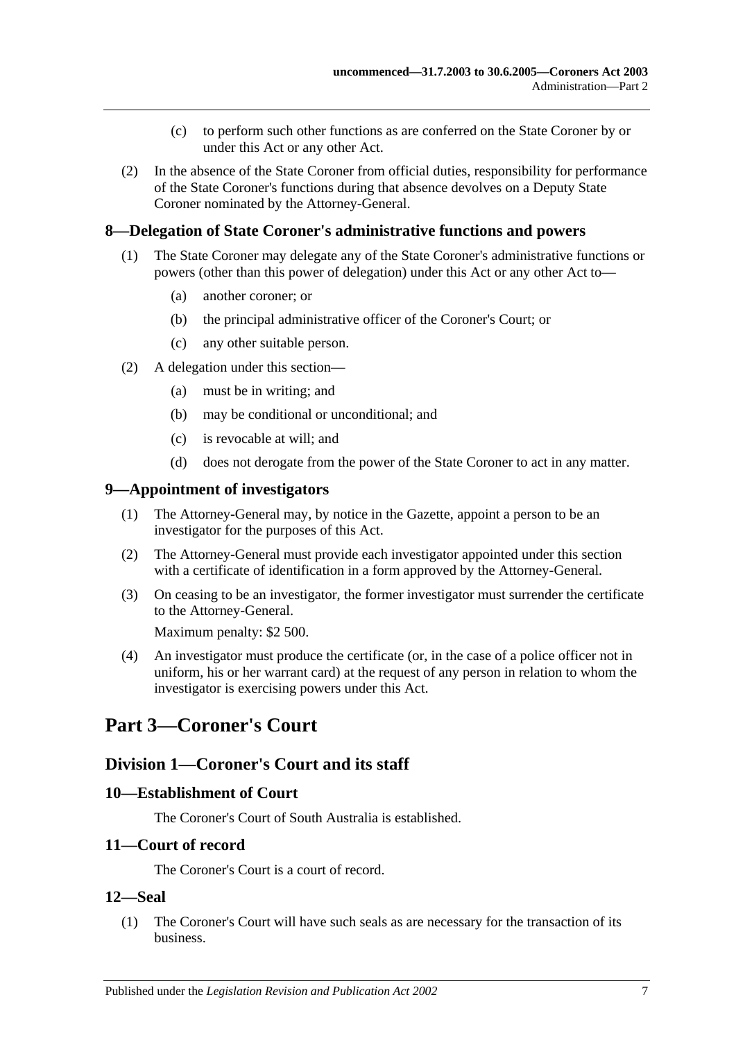- (c) to perform such other functions as are conferred on the State Coroner by or under this Act or any other Act.
- (2) In the absence of the State Coroner from official duties, responsibility for performance of the State Coroner's functions during that absence devolves on a Deputy State Coroner nominated by the Attorney-General.

## <span id="page-6-0"></span>**8—Delegation of State Coroner's administrative functions and powers**

- (1) The State Coroner may delegate any of the State Coroner's administrative functions or powers (other than this power of delegation) under this Act or any other Act to—
	- (a) another coroner; or
	- (b) the principal administrative officer of the Coroner's Court; or
	- (c) any other suitable person.
- (2) A delegation under this section—
	- (a) must be in writing; and
	- (b) may be conditional or unconditional; and
	- (c) is revocable at will; and
	- (d) does not derogate from the power of the State Coroner to act in any matter.

#### <span id="page-6-1"></span>**9—Appointment of investigators**

- (1) The Attorney-General may, by notice in the Gazette, appoint a person to be an investigator for the purposes of this Act.
- (2) The Attorney-General must provide each investigator appointed under this section with a certificate of identification in a form approved by the Attorney-General.
- (3) On ceasing to be an investigator, the former investigator must surrender the certificate to the Attorney-General.

Maximum penalty: \$2 500.

(4) An investigator must produce the certificate (or, in the case of a police officer not in uniform, his or her warrant card) at the request of any person in relation to whom the investigator is exercising powers under this Act.

## <span id="page-6-3"></span><span id="page-6-2"></span>**Part 3—Coroner's Court**

## **Division 1—Coroner's Court and its staff**

#### <span id="page-6-4"></span>**10—Establishment of Court**

The Coroner's Court of South Australia is established.

#### <span id="page-6-5"></span>**11—Court of record**

The Coroner's Court is a court of record.

#### <span id="page-6-6"></span>**12—Seal**

(1) The Coroner's Court will have such seals as are necessary for the transaction of its business.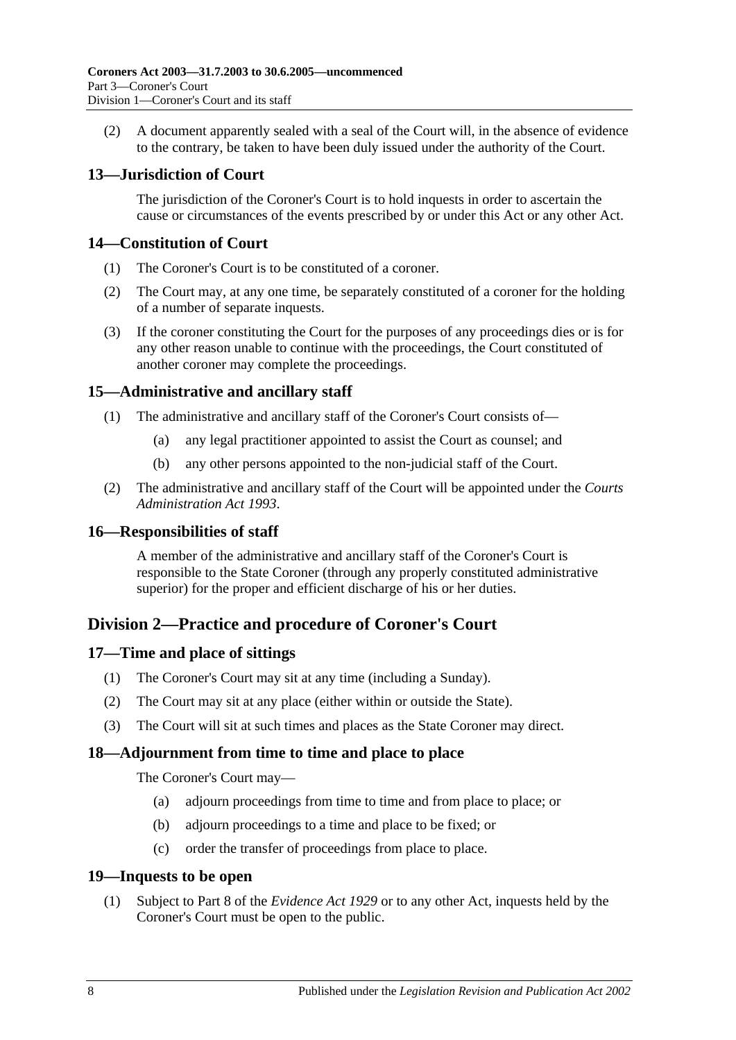(2) A document apparently sealed with a seal of the Court will, in the absence of evidence to the contrary, be taken to have been duly issued under the authority of the Court.

## <span id="page-7-0"></span>**13—Jurisdiction of Court**

The jurisdiction of the Coroner's Court is to hold inquests in order to ascertain the cause or circumstances of the events prescribed by or under this Act or any other Act.

## <span id="page-7-1"></span>**14—Constitution of Court**

- (1) The Coroner's Court is to be constituted of a coroner.
- (2) The Court may, at any one time, be separately constituted of a coroner for the holding of a number of separate inquests.
- (3) If the coroner constituting the Court for the purposes of any proceedings dies or is for any other reason unable to continue with the proceedings, the Court constituted of another coroner may complete the proceedings.

## <span id="page-7-2"></span>**15—Administrative and ancillary staff**

- (1) The administrative and ancillary staff of the Coroner's Court consists of—
	- (a) any legal practitioner appointed to assist the Court as counsel; and
	- (b) any other persons appointed to the non-judicial staff of the Court.
- (2) The administrative and ancillary staff of the Court will be appointed under the *[Courts](http://www.legislation.sa.gov.au/index.aspx?action=legref&type=act&legtitle=Courts%20Administration%20Act%201993)  [Administration Act](http://www.legislation.sa.gov.au/index.aspx?action=legref&type=act&legtitle=Courts%20Administration%20Act%201993) 1993*.

## <span id="page-7-3"></span>**16—Responsibilities of staff**

A member of the administrative and ancillary staff of the Coroner's Court is responsible to the State Coroner (through any properly constituted administrative superior) for the proper and efficient discharge of his or her duties.

## <span id="page-7-4"></span>**Division 2—Practice and procedure of Coroner's Court**

## <span id="page-7-5"></span>**17—Time and place of sittings**

- (1) The Coroner's Court may sit at any time (including a Sunday).
- (2) The Court may sit at any place (either within or outside the State).
- (3) The Court will sit at such times and places as the State Coroner may direct.

#### <span id="page-7-6"></span>**18—Adjournment from time to time and place to place**

The Coroner's Court may—

- (a) adjourn proceedings from time to time and from place to place; or
- (b) adjourn proceedings to a time and place to be fixed; or
- (c) order the transfer of proceedings from place to place.

#### <span id="page-7-7"></span>**19—Inquests to be open**

(1) Subject to Part 8 of the *[Evidence Act](http://www.legislation.sa.gov.au/index.aspx?action=legref&type=act&legtitle=Evidence%20Act%201929) 1929* or to any other Act, inquests held by the Coroner's Court must be open to the public.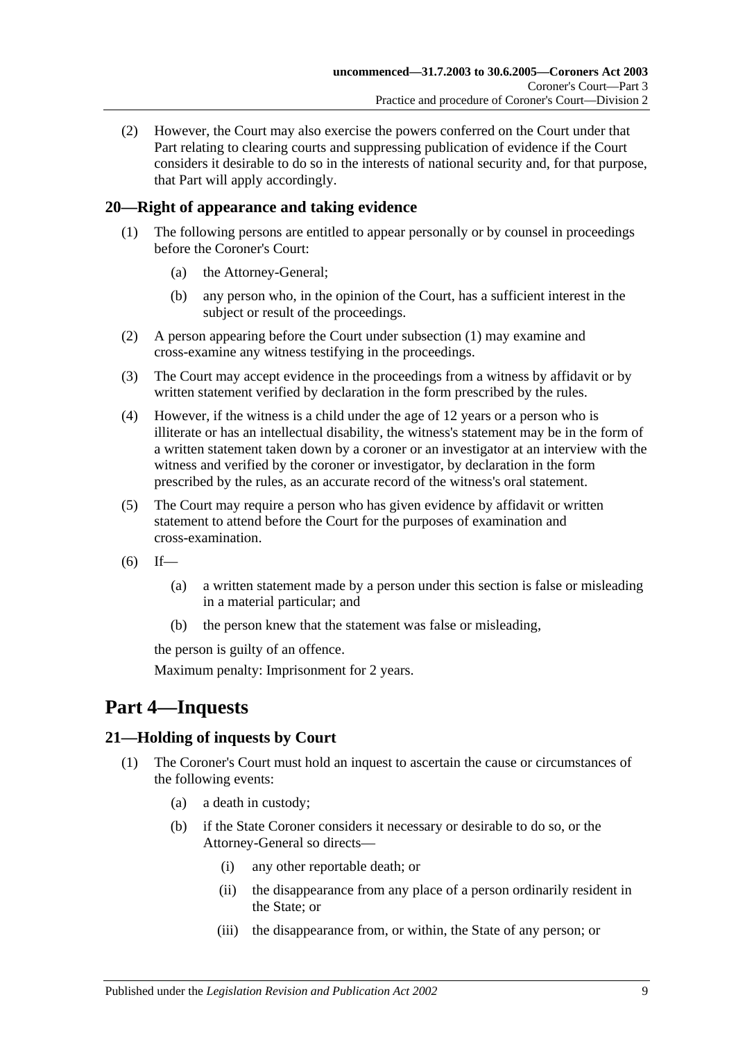(2) However, the Court may also exercise the powers conferred on the Court under that Part relating to clearing courts and suppressing publication of evidence if the Court considers it desirable to do so in the interests of national security and, for that purpose, that Part will apply accordingly.

## <span id="page-8-3"></span><span id="page-8-0"></span>**20—Right of appearance and taking evidence**

- (1) The following persons are entitled to appear personally or by counsel in proceedings before the Coroner's Court:
	- (a) the Attorney-General;
	- (b) any person who, in the opinion of the Court, has a sufficient interest in the subject or result of the proceedings.
- (2) A person appearing before the Court under [subsection](#page-8-3) (1) may examine and cross-examine any witness testifying in the proceedings.
- (3) The Court may accept evidence in the proceedings from a witness by affidavit or by written statement verified by declaration in the form prescribed by the rules.
- (4) However, if the witness is a child under the age of 12 years or a person who is illiterate or has an intellectual disability, the witness's statement may be in the form of a written statement taken down by a coroner or an investigator at an interview with the witness and verified by the coroner or investigator, by declaration in the form prescribed by the rules, as an accurate record of the witness's oral statement.
- (5) The Court may require a person who has given evidence by affidavit or written statement to attend before the Court for the purposes of examination and cross-examination.
- $(6)$  If—
	- (a) a written statement made by a person under this section is false or misleading in a material particular; and
	- (b) the person knew that the statement was false or misleading,

the person is guilty of an offence.

Maximum penalty: Imprisonment for 2 years.

## <span id="page-8-1"></span>**Part 4—Inquests**

## <span id="page-8-2"></span>**21—Holding of inquests by Court**

- (1) The Coroner's Court must hold an inquest to ascertain the cause or circumstances of the following events:
	- (a) a death in custody;
	- (b) if the State Coroner considers it necessary or desirable to do so, or the Attorney-General so directs—
		- (i) any other reportable death; or
		- (ii) the disappearance from any place of a person ordinarily resident in the State; or
		- (iii) the disappearance from, or within, the State of any person; or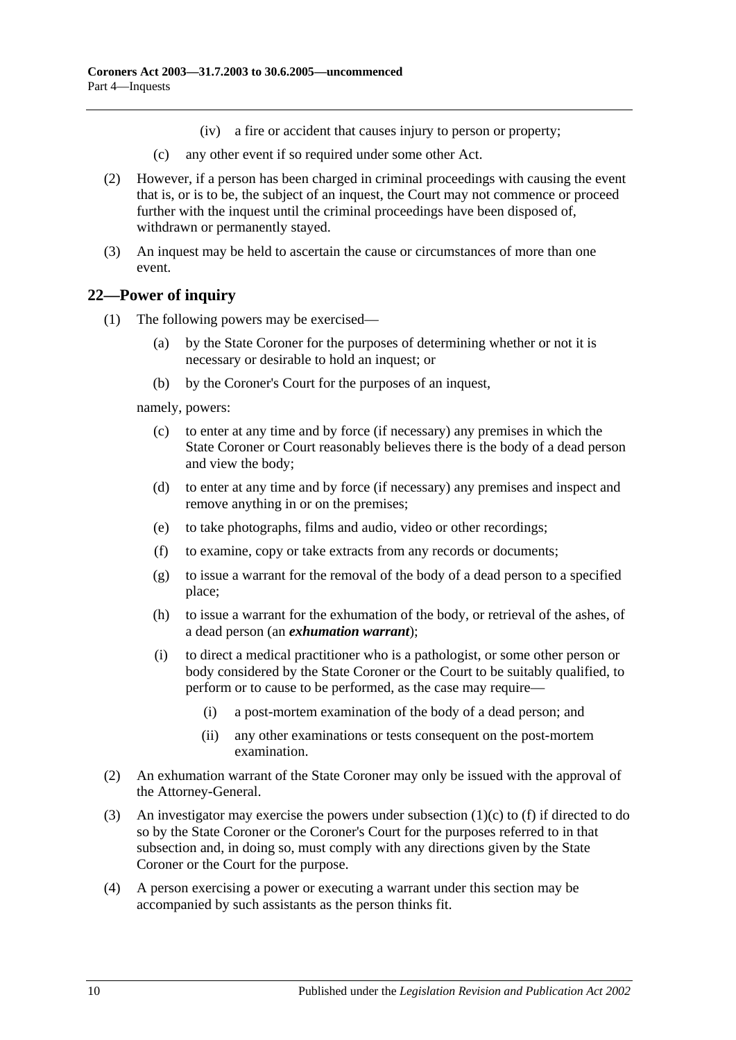- (iv) a fire or accident that causes injury to person or property;
- (c) any other event if so required under some other Act.
- (2) However, if a person has been charged in criminal proceedings with causing the event that is, or is to be, the subject of an inquest, the Court may not commence or proceed further with the inquest until the criminal proceedings have been disposed of, withdrawn or permanently stayed.
- (3) An inquest may be held to ascertain the cause or circumstances of more than one event.

## <span id="page-9-0"></span>**22—Power of inquiry**

- (1) The following powers may be exercised—
	- (a) by the State Coroner for the purposes of determining whether or not it is necessary or desirable to hold an inquest; or
	- (b) by the Coroner's Court for the purposes of an inquest,

<span id="page-9-1"></span>namely, powers:

- (c) to enter at any time and by force (if necessary) any premises in which the State Coroner or Court reasonably believes there is the body of a dead person and view the body;
- (d) to enter at any time and by force (if necessary) any premises and inspect and remove anything in or on the premises;
- <span id="page-9-2"></span>(e) to take photographs, films and audio, video or other recordings;
- (f) to examine, copy or take extracts from any records or documents;
- (g) to issue a warrant for the removal of the body of a dead person to a specified place;
- (h) to issue a warrant for the exhumation of the body, or retrieval of the ashes, of a dead person (an *exhumation warrant*);
- (i) to direct a medical practitioner who is a pathologist, or some other person or body considered by the State Coroner or the Court to be suitably qualified, to perform or to cause to be performed, as the case may require—
	- (i) a post-mortem examination of the body of a dead person; and
	- (ii) any other examinations or tests consequent on the post-mortem examination.
- (2) An exhumation warrant of the State Coroner may only be issued with the approval of the Attorney-General.
- (3) An investigator may exercise the powers under [subsection](#page-9-1) (1)(c) to [\(f\)](#page-9-2) if directed to do so by the State Coroner or the Coroner's Court for the purposes referred to in that subsection and, in doing so, must comply with any directions given by the State Coroner or the Court for the purpose.
- (4) A person exercising a power or executing a warrant under this section may be accompanied by such assistants as the person thinks fit.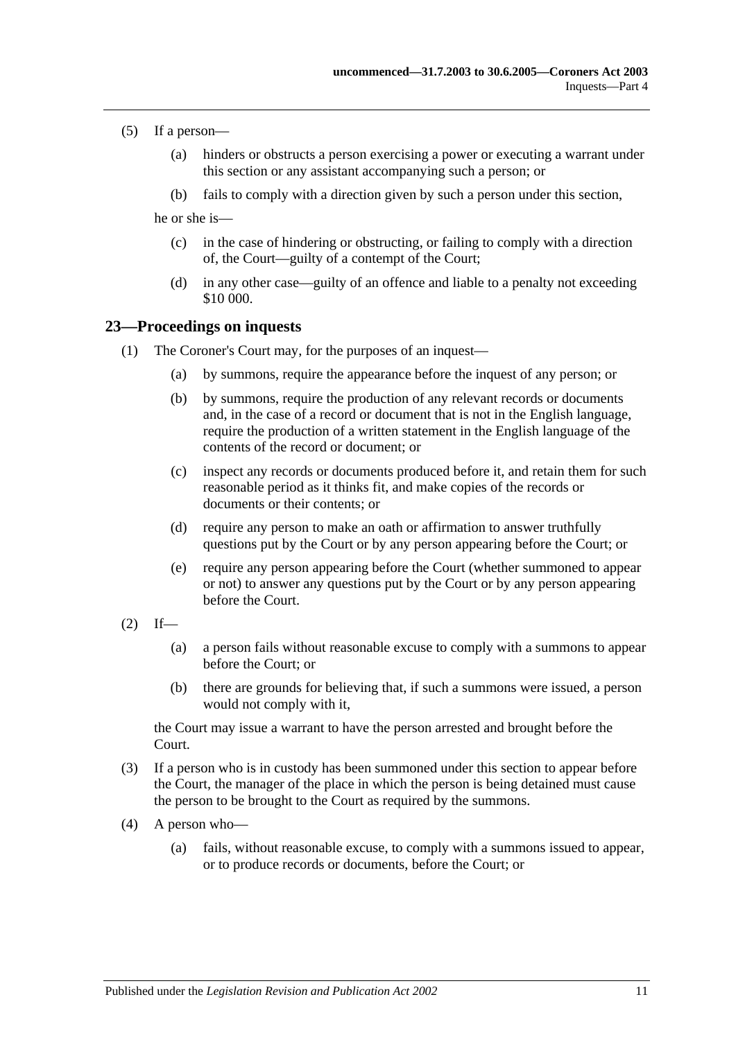#### (5) If a person—

- (a) hinders or obstructs a person exercising a power or executing a warrant under this section or any assistant accompanying such a person; or
- (b) fails to comply with a direction given by such a person under this section,

he or she is—

- (c) in the case of hindering or obstructing, or failing to comply with a direction of, the Court—guilty of a contempt of the Court;
- (d) in any other case—guilty of an offence and liable to a penalty not exceeding \$10 000.

#### <span id="page-10-0"></span>**23—Proceedings on inquests**

- (1) The Coroner's Court may, for the purposes of an inquest—
	- (a) by summons, require the appearance before the inquest of any person; or
	- (b) by summons, require the production of any relevant records or documents and, in the case of a record or document that is not in the English language, require the production of a written statement in the English language of the contents of the record or document; or
	- (c) inspect any records or documents produced before it, and retain them for such reasonable period as it thinks fit, and make copies of the records or documents or their contents; or
	- (d) require any person to make an oath or affirmation to answer truthfully questions put by the Court or by any person appearing before the Court; or
	- (e) require any person appearing before the Court (whether summoned to appear or not) to answer any questions put by the Court or by any person appearing before the Court.
- $(2)$  If—
	- (a) a person fails without reasonable excuse to comply with a summons to appear before the Court; or
	- (b) there are grounds for believing that, if such a summons were issued, a person would not comply with it,

the Court may issue a warrant to have the person arrested and brought before the Court.

- (3) If a person who is in custody has been summoned under this section to appear before the Court, the manager of the place in which the person is being detained must cause the person to be brought to the Court as required by the summons.
- (4) A person who—
	- (a) fails, without reasonable excuse, to comply with a summons issued to appear, or to produce records or documents, before the Court; or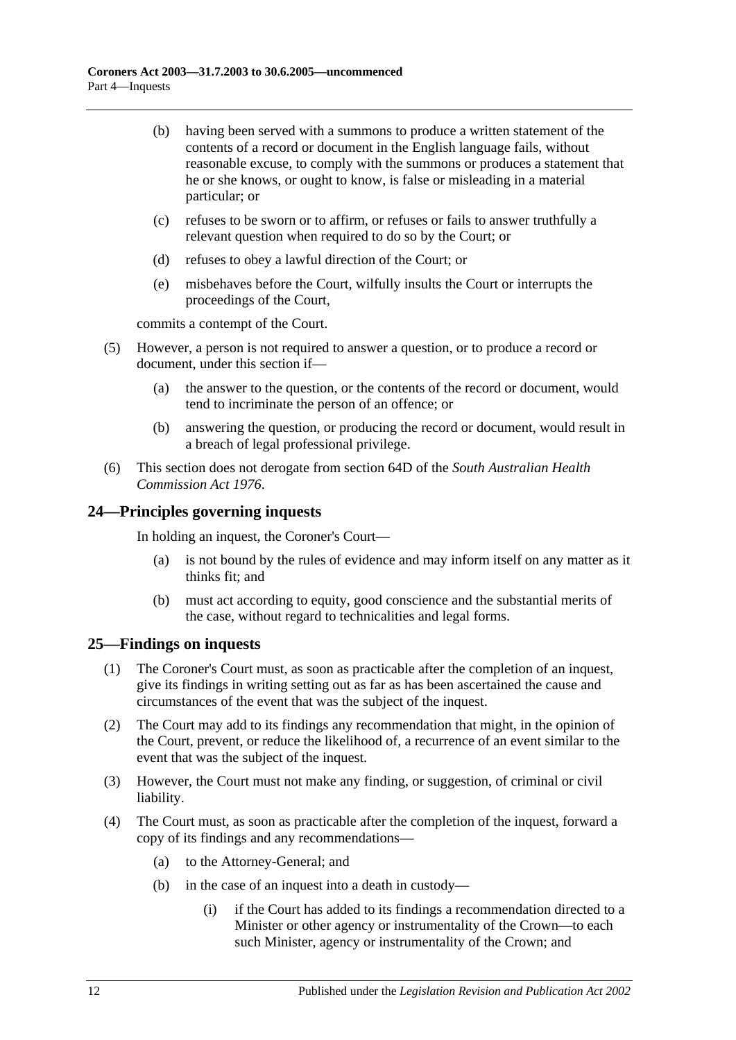- (b) having been served with a summons to produce a written statement of the contents of a record or document in the English language fails, without reasonable excuse, to comply with the summons or produces a statement that he or she knows, or ought to know, is false or misleading in a material particular; or
- (c) refuses to be sworn or to affirm, or refuses or fails to answer truthfully a relevant question when required to do so by the Court; or
- (d) refuses to obey a lawful direction of the Court; or
- (e) misbehaves before the Court, wilfully insults the Court or interrupts the proceedings of the Court,

commits a contempt of the Court.

- (5) However, a person is not required to answer a question, or to produce a record or document, under this section if—
	- (a) the answer to the question, or the contents of the record or document, would tend to incriminate the person of an offence; or
	- (b) answering the question, or producing the record or document, would result in a breach of legal professional privilege.
- (6) This section does not derogate from section 64D of the *[South Australian Health](http://www.legislation.sa.gov.au/index.aspx?action=legref&type=act&legtitle=South%20Australian%20Health%20Commission%20Act%201976)  [Commission Act](http://www.legislation.sa.gov.au/index.aspx?action=legref&type=act&legtitle=South%20Australian%20Health%20Commission%20Act%201976) 1976*.

## <span id="page-11-0"></span>**24—Principles governing inquests**

In holding an inquest, the Coroner's Court—

- (a) is not bound by the rules of evidence and may inform itself on any matter as it thinks fit; and
- (b) must act according to equity, good conscience and the substantial merits of the case, without regard to technicalities and legal forms.

## <span id="page-11-1"></span>**25—Findings on inquests**

- (1) The Coroner's Court must, as soon as practicable after the completion of an inquest, give its findings in writing setting out as far as has been ascertained the cause and circumstances of the event that was the subject of the inquest.
- (2) The Court may add to its findings any recommendation that might, in the opinion of the Court, prevent, or reduce the likelihood of, a recurrence of an event similar to the event that was the subject of the inquest.
- (3) However, the Court must not make any finding, or suggestion, of criminal or civil liability.
- <span id="page-11-2"></span>(4) The Court must, as soon as practicable after the completion of the inquest, forward a copy of its findings and any recommendations—
	- (a) to the Attorney-General; and
	- (b) in the case of an inquest into a death in custody—
		- (i) if the Court has added to its findings a recommendation directed to a Minister or other agency or instrumentality of the Crown—to each such Minister, agency or instrumentality of the Crown; and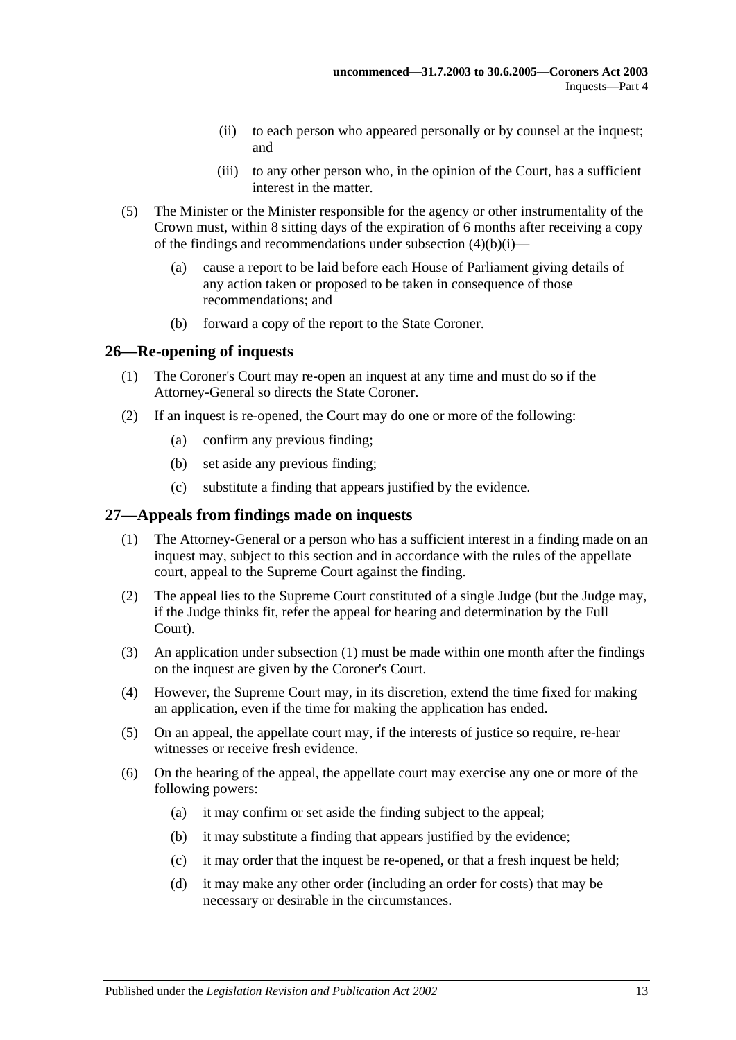- (ii) to each person who appeared personally or by counsel at the inquest; and
- (iii) to any other person who, in the opinion of the Court, has a sufficient interest in the matter.
- (5) The Minister or the Minister responsible for the agency or other instrumentality of the Crown must, within 8 sitting days of the expiration of 6 months after receiving a copy of the findings and recommendations under [subsection](#page-11-2)  $(4)(b)(i)$ —
	- (a) cause a report to be laid before each House of Parliament giving details of any action taken or proposed to be taken in consequence of those recommendations; and
	- (b) forward a copy of the report to the State Coroner.

#### <span id="page-12-0"></span>**26—Re-opening of inquests**

- (1) The Coroner's Court may re-open an inquest at any time and must do so if the Attorney-General so directs the State Coroner.
- (2) If an inquest is re-opened, the Court may do one or more of the following:
	- (a) confirm any previous finding;
	- (b) set aside any previous finding;
	- (c) substitute a finding that appears justified by the evidence.

#### <span id="page-12-2"></span><span id="page-12-1"></span>**27—Appeals from findings made on inquests**

- (1) The Attorney-General or a person who has a sufficient interest in a finding made on an inquest may, subject to this section and in accordance with the rules of the appellate court, appeal to the Supreme Court against the finding.
- (2) The appeal lies to the Supreme Court constituted of a single Judge (but the Judge may, if the Judge thinks fit, refer the appeal for hearing and determination by the Full Court).
- (3) An application under [subsection](#page-12-2) (1) must be made within one month after the findings on the inquest are given by the Coroner's Court.
- (4) However, the Supreme Court may, in its discretion, extend the time fixed for making an application, even if the time for making the application has ended.
- (5) On an appeal, the appellate court may, if the interests of justice so require, re-hear witnesses or receive fresh evidence.
- (6) On the hearing of the appeal, the appellate court may exercise any one or more of the following powers:
	- (a) it may confirm or set aside the finding subject to the appeal;
	- (b) it may substitute a finding that appears justified by the evidence;
	- (c) it may order that the inquest be re-opened, or that a fresh inquest be held;
	- (d) it may make any other order (including an order for costs) that may be necessary or desirable in the circumstances.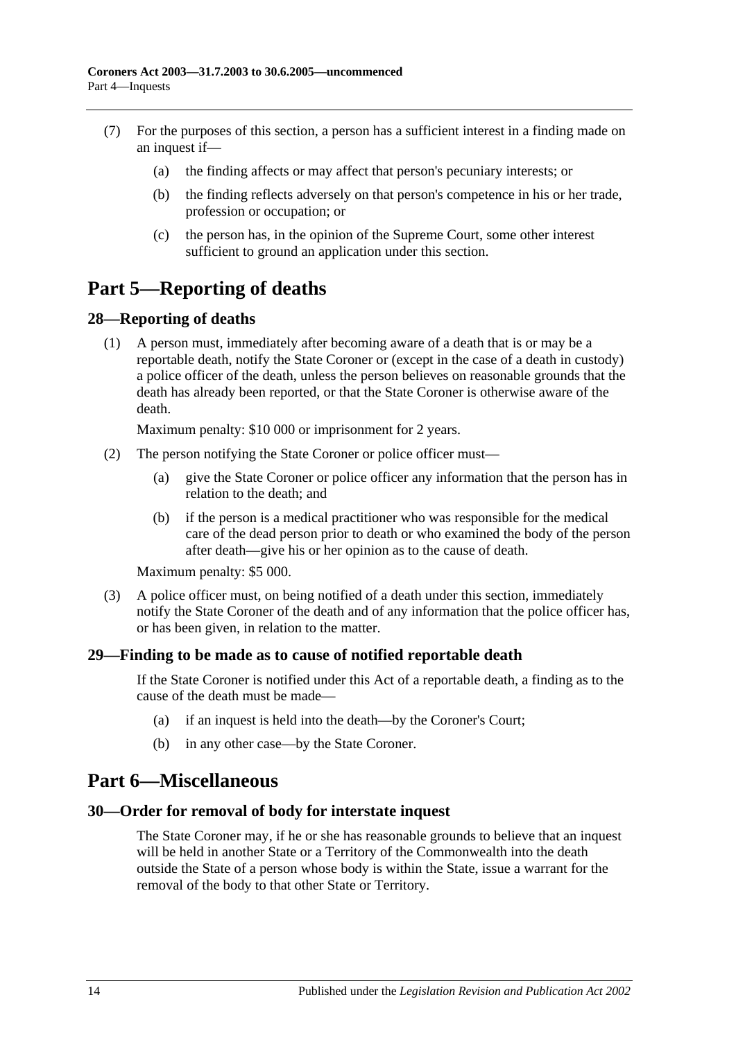- (7) For the purposes of this section, a person has a sufficient interest in a finding made on an inquest if—
	- (a) the finding affects or may affect that person's pecuniary interests; or
	- (b) the finding reflects adversely on that person's competence in his or her trade, profession or occupation; or
	- (c) the person has, in the opinion of the Supreme Court, some other interest sufficient to ground an application under this section.

## <span id="page-13-0"></span>**Part 5—Reporting of deaths**

## <span id="page-13-1"></span>**28—Reporting of deaths**

(1) A person must, immediately after becoming aware of a death that is or may be a reportable death, notify the State Coroner or (except in the case of a death in custody) a police officer of the death, unless the person believes on reasonable grounds that the death has already been reported, or that the State Coroner is otherwise aware of the death.

Maximum penalty: \$10 000 or imprisonment for 2 years.

- (2) The person notifying the State Coroner or police officer must—
	- (a) give the State Coroner or police officer any information that the person has in relation to the death; and
	- (b) if the person is a medical practitioner who was responsible for the medical care of the dead person prior to death or who examined the body of the person after death—give his or her opinion as to the cause of death.

Maximum penalty: \$5 000.

(3) A police officer must, on being notified of a death under this section, immediately notify the State Coroner of the death and of any information that the police officer has, or has been given, in relation to the matter.

## <span id="page-13-2"></span>**29—Finding to be made as to cause of notified reportable death**

If the State Coroner is notified under this Act of a reportable death, a finding as to the cause of the death must be made—

- (a) if an inquest is held into the death—by the Coroner's Court;
- (b) in any other case—by the State Coroner.

## <span id="page-13-3"></span>**Part 6—Miscellaneous**

#### <span id="page-13-4"></span>**30—Order for removal of body for interstate inquest**

The State Coroner may, if he or she has reasonable grounds to believe that an inquest will be held in another State or a Territory of the Commonwealth into the death outside the State of a person whose body is within the State, issue a warrant for the removal of the body to that other State or Territory.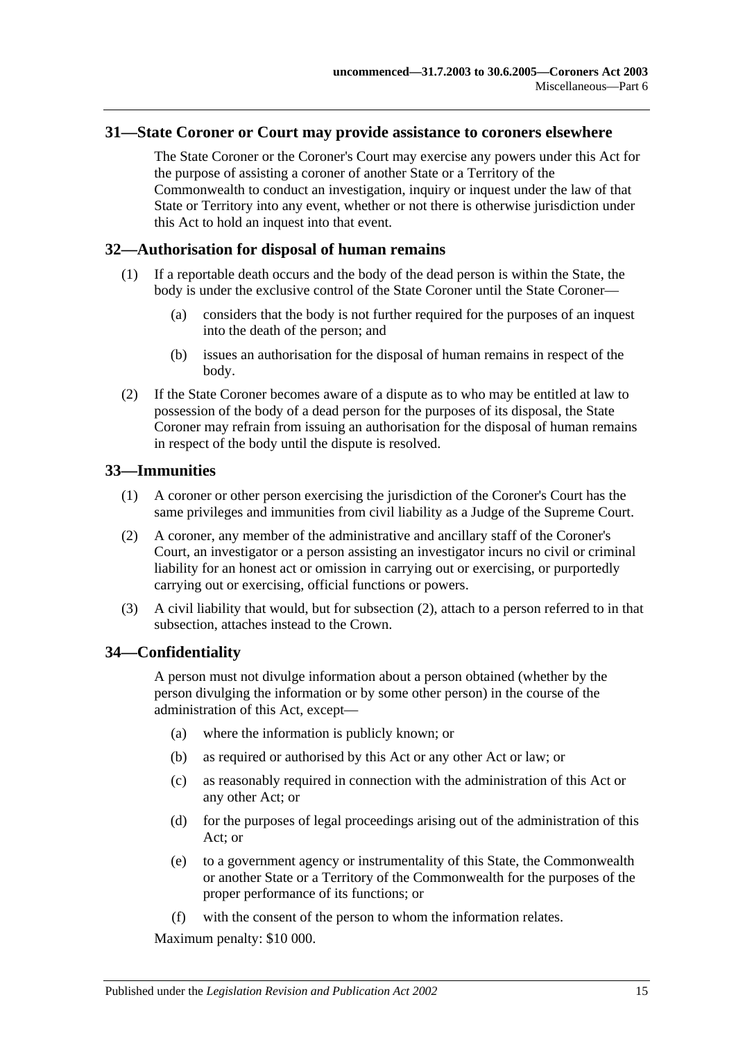#### <span id="page-14-0"></span>**31—State Coroner or Court may provide assistance to coroners elsewhere**

The State Coroner or the Coroner's Court may exercise any powers under this Act for the purpose of assisting a coroner of another State or a Territory of the Commonwealth to conduct an investigation, inquiry or inquest under the law of that State or Territory into any event, whether or not there is otherwise jurisdiction under this Act to hold an inquest into that event.

#### <span id="page-14-1"></span>**32—Authorisation for disposal of human remains**

- (1) If a reportable death occurs and the body of the dead person is within the State, the body is under the exclusive control of the State Coroner until the State Coroner-
	- (a) considers that the body is not further required for the purposes of an inquest into the death of the person; and
	- (b) issues an authorisation for the disposal of human remains in respect of the body.
- (2) If the State Coroner becomes aware of a dispute as to who may be entitled at law to possession of the body of a dead person for the purposes of its disposal, the State Coroner may refrain from issuing an authorisation for the disposal of human remains in respect of the body until the dispute is resolved.

#### <span id="page-14-2"></span>**33—Immunities**

- (1) A coroner or other person exercising the jurisdiction of the Coroner's Court has the same privileges and immunities from civil liability as a Judge of the Supreme Court.
- <span id="page-14-4"></span>(2) A coroner, any member of the administrative and ancillary staff of the Coroner's Court, an investigator or a person assisting an investigator incurs no civil or criminal liability for an honest act or omission in carrying out or exercising, or purportedly carrying out or exercising, official functions or powers.
- (3) A civil liability that would, but for [subsection](#page-14-4) (2), attach to a person referred to in that subsection, attaches instead to the Crown.

## <span id="page-14-3"></span>**34—Confidentiality**

A person must not divulge information about a person obtained (whether by the person divulging the information or by some other person) in the course of the administration of this Act, except—

- (a) where the information is publicly known; or
- (b) as required or authorised by this Act or any other Act or law; or
- (c) as reasonably required in connection with the administration of this Act or any other Act; or
- (d) for the purposes of legal proceedings arising out of the administration of this Act; or
- (e) to a government agency or instrumentality of this State, the Commonwealth or another State or a Territory of the Commonwealth for the purposes of the proper performance of its functions; or
- (f) with the consent of the person to whom the information relates.

Maximum penalty: \$10 000.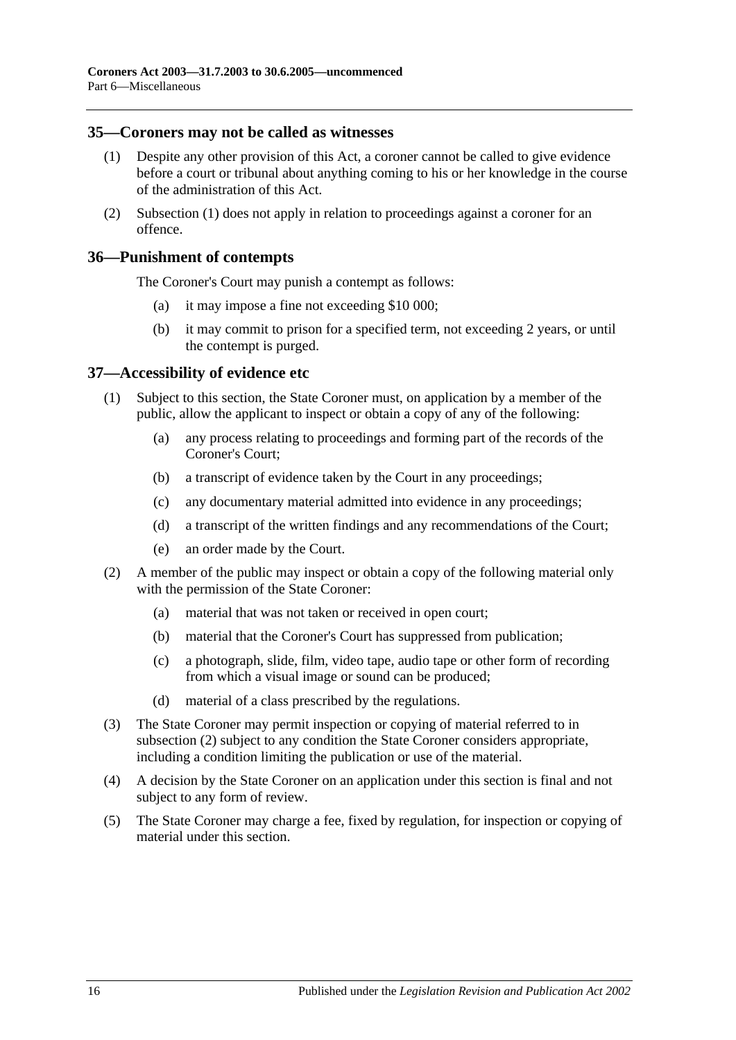#### <span id="page-15-3"></span><span id="page-15-0"></span>**35—Coroners may not be called as witnesses**

- (1) Despite any other provision of this Act, a coroner cannot be called to give evidence before a court or tribunal about anything coming to his or her knowledge in the course of the administration of this Act.
- (2) [Subsection](#page-15-3) (1) does not apply in relation to proceedings against a coroner for an offence.

#### <span id="page-15-1"></span>**36—Punishment of contempts**

The Coroner's Court may punish a contempt as follows:

- (a) it may impose a fine not exceeding \$10 000;
- (b) it may commit to prison for a specified term, not exceeding 2 years, or until the contempt is purged.

#### <span id="page-15-2"></span>**37—Accessibility of evidence etc**

- (1) Subject to this section, the State Coroner must, on application by a member of the public, allow the applicant to inspect or obtain a copy of any of the following:
	- (a) any process relating to proceedings and forming part of the records of the Coroner's Court;
	- (b) a transcript of evidence taken by the Court in any proceedings;
	- (c) any documentary material admitted into evidence in any proceedings;
	- (d) a transcript of the written findings and any recommendations of the Court;
	- (e) an order made by the Court.
- <span id="page-15-4"></span>(2) A member of the public may inspect or obtain a copy of the following material only with the permission of the State Coroner:
	- (a) material that was not taken or received in open court;
	- (b) material that the Coroner's Court has suppressed from publication;
	- (c) a photograph, slide, film, video tape, audio tape or other form of recording from which a visual image or sound can be produced;
	- (d) material of a class prescribed by the regulations.
- (3) The State Coroner may permit inspection or copying of material referred to in [subsection](#page-15-4) (2) subject to any condition the State Coroner considers appropriate, including a condition limiting the publication or use of the material.
- (4) A decision by the State Coroner on an application under this section is final and not subject to any form of review.
- (5) The State Coroner may charge a fee, fixed by regulation, for inspection or copying of material under this section.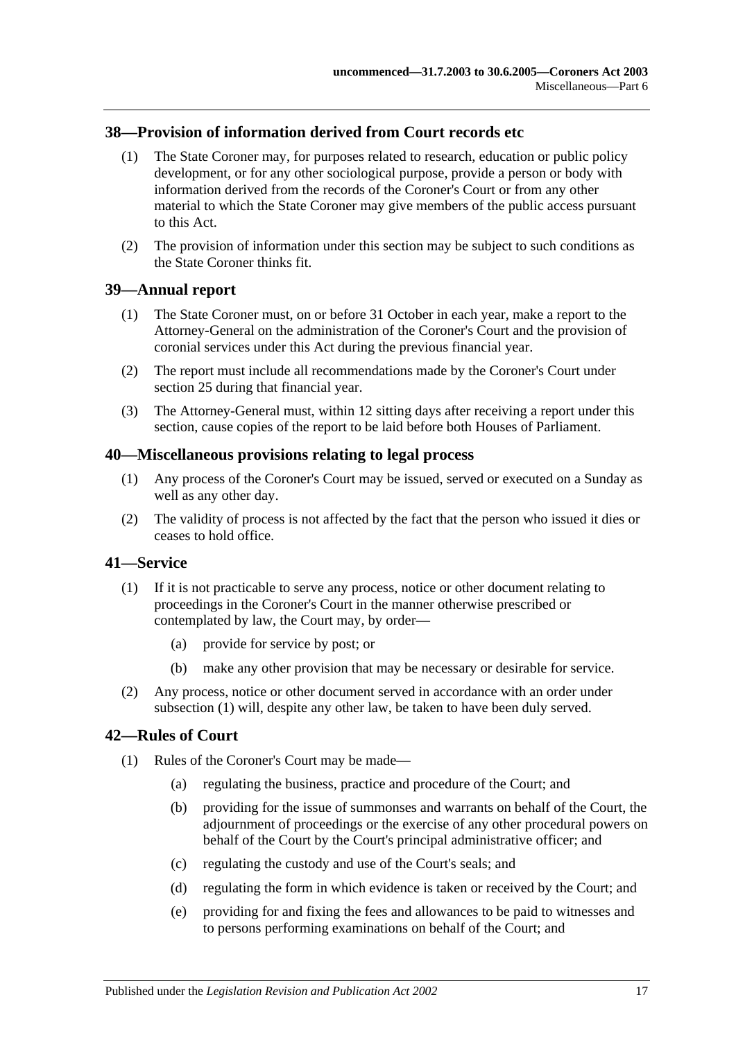## <span id="page-16-0"></span>**38—Provision of information derived from Court records etc**

- (1) The State Coroner may, for purposes related to research, education or public policy development, or for any other sociological purpose, provide a person or body with information derived from the records of the Coroner's Court or from any other material to which the State Coroner may give members of the public access pursuant to this Act.
- (2) The provision of information under this section may be subject to such conditions as the State Coroner thinks fit.

#### <span id="page-16-1"></span>**39—Annual report**

- (1) The State Coroner must, on or before 31 October in each year, make a report to the Attorney-General on the administration of the Coroner's Court and the provision of coronial services under this Act during the previous financial year.
- (2) The report must include all recommendations made by the Coroner's Court under [section](#page-11-1) 25 during that financial year.
- (3) The Attorney-General must, within 12 sitting days after receiving a report under this section, cause copies of the report to be laid before both Houses of Parliament.

#### <span id="page-16-2"></span>**40—Miscellaneous provisions relating to legal process**

- (1) Any process of the Coroner's Court may be issued, served or executed on a Sunday as well as any other day.
- (2) The validity of process is not affected by the fact that the person who issued it dies or ceases to hold office.

#### <span id="page-16-5"></span><span id="page-16-3"></span>**41—Service**

- (1) If it is not practicable to serve any process, notice or other document relating to proceedings in the Coroner's Court in the manner otherwise prescribed or contemplated by law, the Court may, by order—
	- (a) provide for service by post; or
	- (b) make any other provision that may be necessary or desirable for service.
- (2) Any process, notice or other document served in accordance with an order under [subsection](#page-16-5) (1) will, despite any other law, be taken to have been duly served.

#### <span id="page-16-4"></span>**42—Rules of Court**

- (1) Rules of the Coroner's Court may be made—
	- (a) regulating the business, practice and procedure of the Court; and
	- (b) providing for the issue of summonses and warrants on behalf of the Court, the adjournment of proceedings or the exercise of any other procedural powers on behalf of the Court by the Court's principal administrative officer; and
	- (c) regulating the custody and use of the Court's seals; and
	- (d) regulating the form in which evidence is taken or received by the Court; and
	- (e) providing for and fixing the fees and allowances to be paid to witnesses and to persons performing examinations on behalf of the Court; and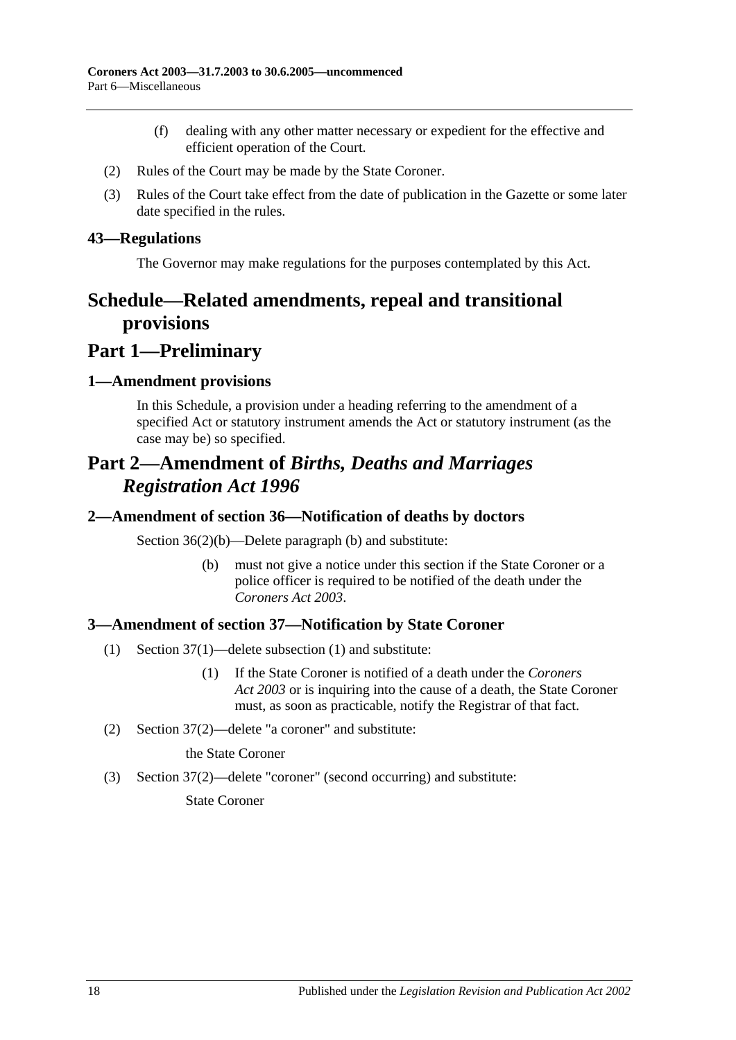- (f) dealing with any other matter necessary or expedient for the effective and efficient operation of the Court.
- (2) Rules of the Court may be made by the State Coroner.
- (3) Rules of the Court take effect from the date of publication in the Gazette or some later date specified in the rules.

#### <span id="page-17-0"></span>**43—Regulations**

The Governor may make regulations for the purposes contemplated by this Act.

## <span id="page-17-1"></span>**Schedule—Related amendments, repeal and transitional provisions**

## **Part 1—Preliminary**

#### <span id="page-17-2"></span>**1—Amendment provisions**

In this Schedule, a provision under a heading referring to the amendment of a specified Act or statutory instrument amends the Act or statutory instrument (as the case may be) so specified.

## **Part 2—Amendment of** *Births, Deaths and Marriages Registration Act 1996*

#### <span id="page-17-3"></span>**2—Amendment of section 36—Notification of deaths by doctors**

Section 36(2)(b)—Delete paragraph (b) and substitute:

(b) must not give a notice under this section if the State Coroner or a police officer is required to be notified of the death under the *[Coroners Act](http://www.legislation.sa.gov.au/index.aspx?action=legref&type=act&legtitle=Coroners%20Act%202003) 2003*.

## <span id="page-17-4"></span>**3—Amendment of section 37—Notification by State Coroner**

- (1) Section 37(1)—delete subsection (1) and substitute:
	- (1) If the State Coroner is notified of a death under the *[Coroners](http://www.legislation.sa.gov.au/index.aspx?action=legref&type=act&legtitle=Coroners%20Act%202003)  Act [2003](http://www.legislation.sa.gov.au/index.aspx?action=legref&type=act&legtitle=Coroners%20Act%202003)* or is inquiring into the cause of a death, the State Coroner must, as soon as practicable, notify the Registrar of that fact.
- (2) Section 37(2)—delete "a coroner" and substitute:

the State Coroner

(3) Section 37(2)—delete "coroner" (second occurring) and substitute:

State Coroner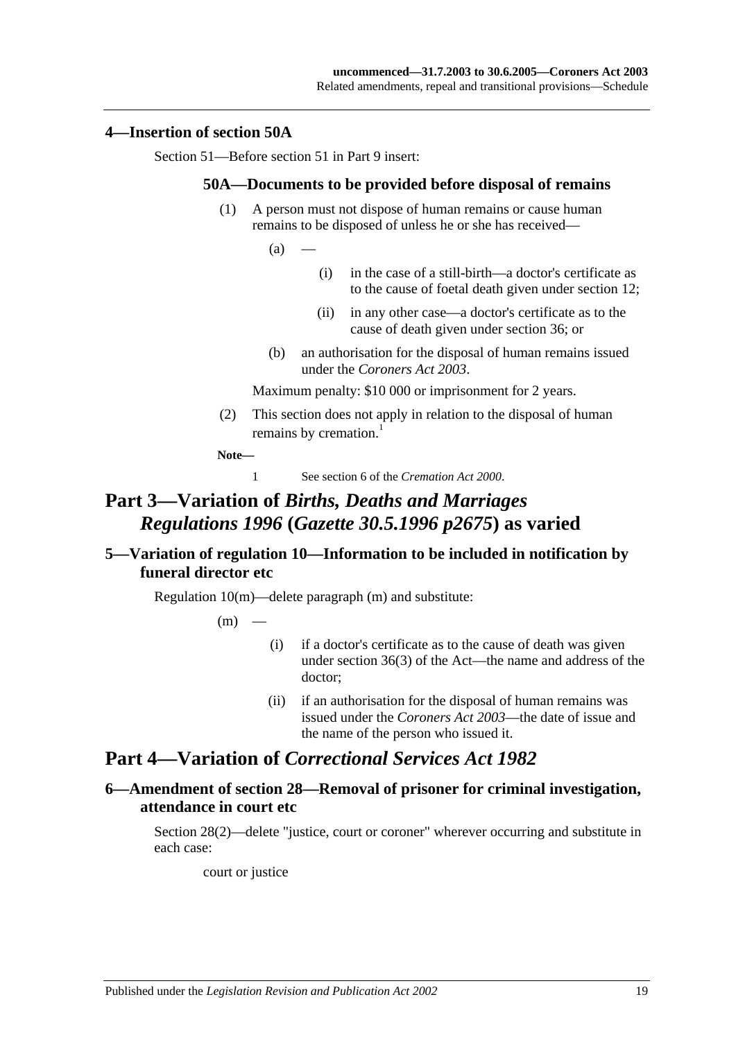#### <span id="page-18-0"></span>**4—Insertion of section 50A**

Section 51—Before section 51 in Part 9 insert:

#### **50A—Documents to be provided before disposal of remains**

(1) A person must not dispose of human remains or cause human remains to be disposed of unless he or she has received—

 $(a)$ 

- (i) in the case of a still-birth—a doctor's certificate as to the cause of foetal death given under section 12;
- (ii) in any other case—a doctor's certificate as to the cause of death given under section 36; or
- (b) an authorisation for the disposal of human remains issued under the *[Coroners Act](http://www.legislation.sa.gov.au/index.aspx?action=legref&type=act&legtitle=Coroners%20Act%202003) 2003*.

Maximum penalty: \$10 000 or imprisonment for 2 years.

(2) This section does not apply in relation to the disposal of human remains by cremation.<sup>1</sup>

**Note—**

1 See section 6 of the *[Cremation Act](http://www.legislation.sa.gov.au/index.aspx?action=legref&type=act&legtitle=Cremation%20Act%202000) 2000*.

## **Part 3—Variation of** *Births, Deaths and Marriages Regulations 1996* **(***Gazette 30.5.1996 p2675***) as varied**

## <span id="page-18-1"></span>**5—Variation of regulation 10—Information to be included in notification by funeral director etc**

Regulation 10(m)—delete paragraph (m) and substitute:

 $(m)$ 

- (i) if a doctor's certificate as to the cause of death was given under section 36(3) of the Act—the name and address of the doctor;
- (ii) if an authorisation for the disposal of human remains was issued under the *[Coroners Act](http://www.legislation.sa.gov.au/index.aspx?action=legref&type=act&legtitle=Coroners%20Act%202003) 2003*—the date of issue and the name of the person who issued it.

## **Part 4—Variation of** *Correctional Services Act 1982*

## <span id="page-18-2"></span>**6—Amendment of section 28—Removal of prisoner for criminal investigation, attendance in court etc**

Section 28(2)—delete "justice, court or coroner" wherever occurring and substitute in each case:

court or justice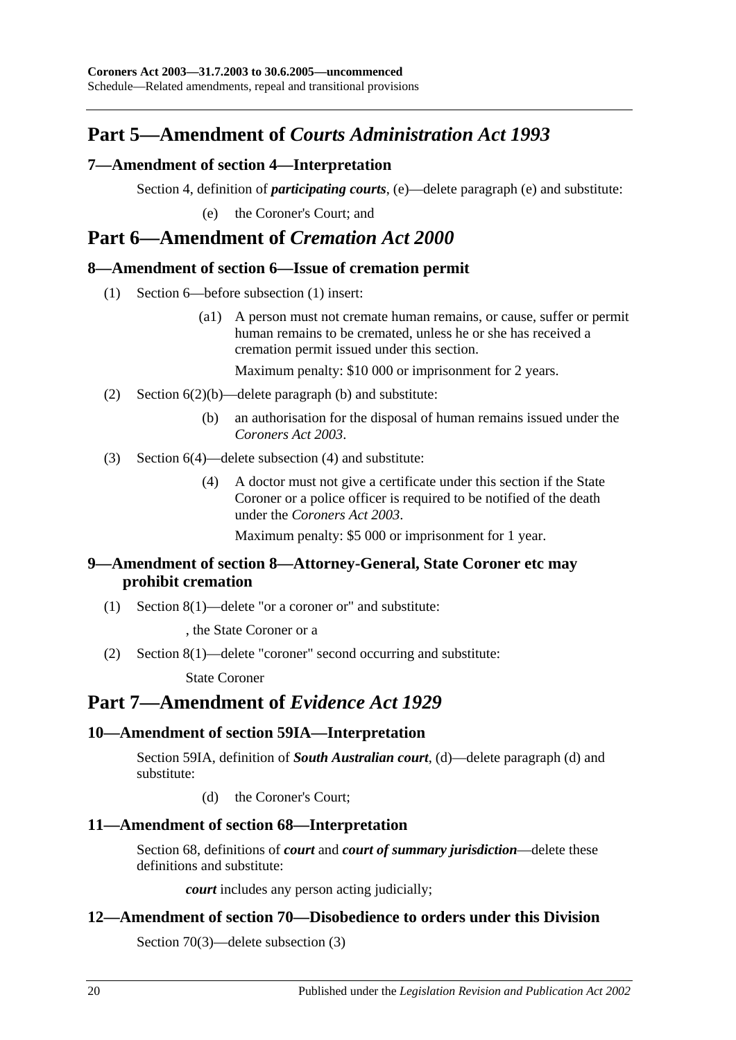## **Part 5—Amendment of** *Courts Administration Act 1993*

## <span id="page-19-0"></span>**7—Amendment of section 4—Interpretation**

Section 4, definition of *participating courts*, (e)—delete paragraph (e) and substitute:

(e) the Coroner's Court; and

## **Part 6—Amendment of** *Cremation Act 2000*

## <span id="page-19-1"></span>**8—Amendment of section 6—Issue of cremation permit**

- (1) Section 6—before subsection (1) insert:
	- (a1) A person must not cremate human remains, or cause, suffer or permit human remains to be cremated, unless he or she has received a cremation permit issued under this section.

Maximum penalty: \$10 000 or imprisonment for 2 years.

- (2) Section 6(2)(b)—delete paragraph (b) and substitute:
	- (b) an authorisation for the disposal of human remains issued under the *[Coroners](http://www.legislation.sa.gov.au/index.aspx?action=legref&type=act&legtitle=Coroners%20Act%202003) Act 2003*.
- (3) Section 6(4)—delete subsection (4) and substitute:
	- (4) A doctor must not give a certificate under this section if the State Coroner or a police officer is required to be notified of the death under the *[Coroners Act](http://www.legislation.sa.gov.au/index.aspx?action=legref&type=act&legtitle=Coroners%20Act%202003) 2003*.

Maximum penalty: \$5 000 or imprisonment for 1 year.

## <span id="page-19-2"></span>**9—Amendment of section 8—Attorney-General, State Coroner etc may prohibit cremation**

(1) Section 8(1)—delete "or a coroner or" and substitute:

, the State Coroner or a

(2) Section 8(1)—delete "coroner" second occurring and substitute:

State Coroner

## **Part 7—Amendment of** *Evidence Act 1929*

## <span id="page-19-3"></span>**10—Amendment of section 59IA—Interpretation**

Section 59IA, definition of *South Australian court*, (d)—delete paragraph (d) and substitute:

(d) the Coroner's Court;

## <span id="page-19-4"></span>**11—Amendment of section 68—Interpretation**

Section 68, definitions of *court* and *court of summary jurisdiction*—delete these definitions and substitute:

*court* includes any person acting judicially;

## <span id="page-19-5"></span>**12—Amendment of section 70—Disobedience to orders under this Division**

Section 70(3)—delete subsection (3)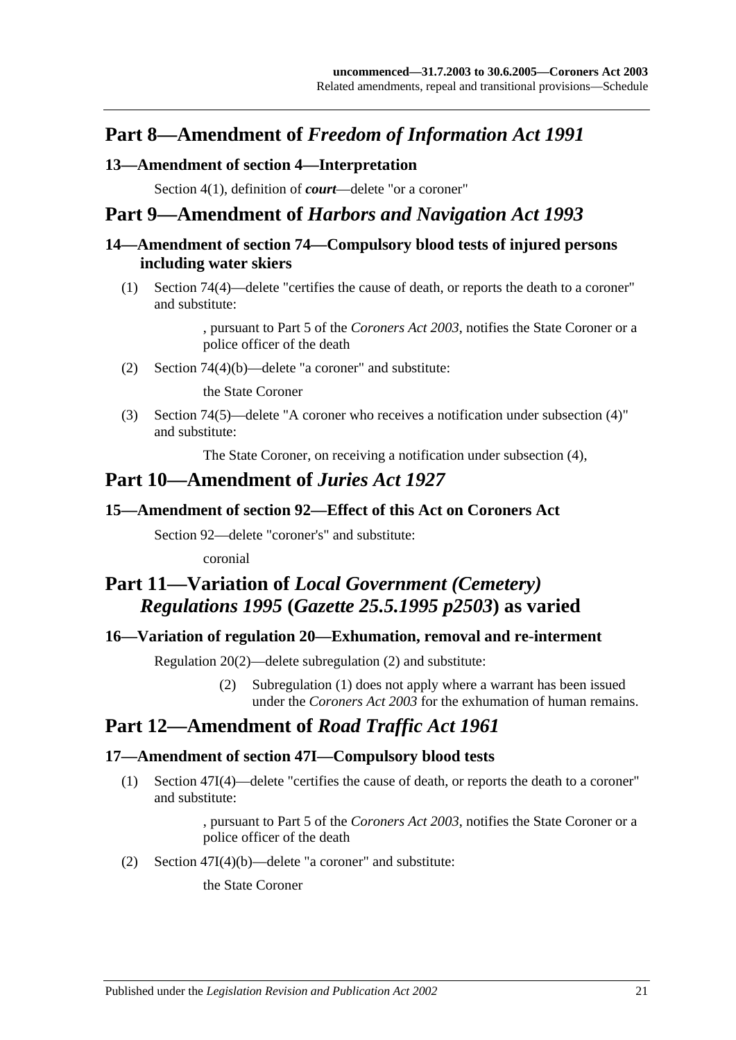## **Part 8—Amendment of** *Freedom of Information Act 1991*

## <span id="page-20-0"></span>**13—Amendment of section 4—Interpretation**

Section 4(1), definition of *court*—delete "or a coroner"

## **Part 9—Amendment of** *Harbors and Navigation Act 1993*

## <span id="page-20-1"></span>**14—Amendment of section 74—Compulsory blood tests of injured persons including water skiers**

(1) Section 74(4)—delete "certifies the cause of death, or reports the death to a coroner" and substitute:

> , pursuant to Part 5 of the *[Coroners Act](http://www.legislation.sa.gov.au/index.aspx?action=legref&type=act&legtitle=Coroners%20Act%202003) 2003*, notifies the State Coroner or a police officer of the death

(2) Section 74(4)(b)—delete "a coroner" and substitute:

the State Coroner

(3) Section 74(5)—delete "A coroner who receives a notification under subsection (4)" and substitute:

The State Coroner, on receiving a notification under subsection (4),

## **Part 10—Amendment of** *Juries Act 1927*

## <span id="page-20-2"></span>**15—Amendment of section 92—Effect of this Act on Coroners Act**

Section 92—delete "coroner's" and substitute:

coronial

## **Part 11—Variation of** *Local Government (Cemetery) Regulations 1995* **(***Gazette 25.5.1995 p2503***) as varied**

## <span id="page-20-3"></span>**16—Variation of regulation 20—Exhumation, removal and re-interment**

Regulation 20(2)—delete subregulation (2) and substitute:

(2) Subregulation (1) does not apply where a warrant has been issued under the *[Coroners Act](http://www.legislation.sa.gov.au/index.aspx?action=legref&type=act&legtitle=Coroners%20Act%202003) 2003* for the exhumation of human remains.

## **Part 12—Amendment of** *Road Traffic Act 1961*

## <span id="page-20-4"></span>**17—Amendment of section 47I—Compulsory blood tests**

(1) Section 47I(4)—delete "certifies the cause of death, or reports the death to a coroner" and substitute:

> , pursuant to Part 5 of the *[Coroners Act](http://www.legislation.sa.gov.au/index.aspx?action=legref&type=act&legtitle=Coroners%20Act%202003) 2003*, notifies the State Coroner or a police officer of the death

(2) Section 47I(4)(b)—delete "a coroner" and substitute:

the State Coroner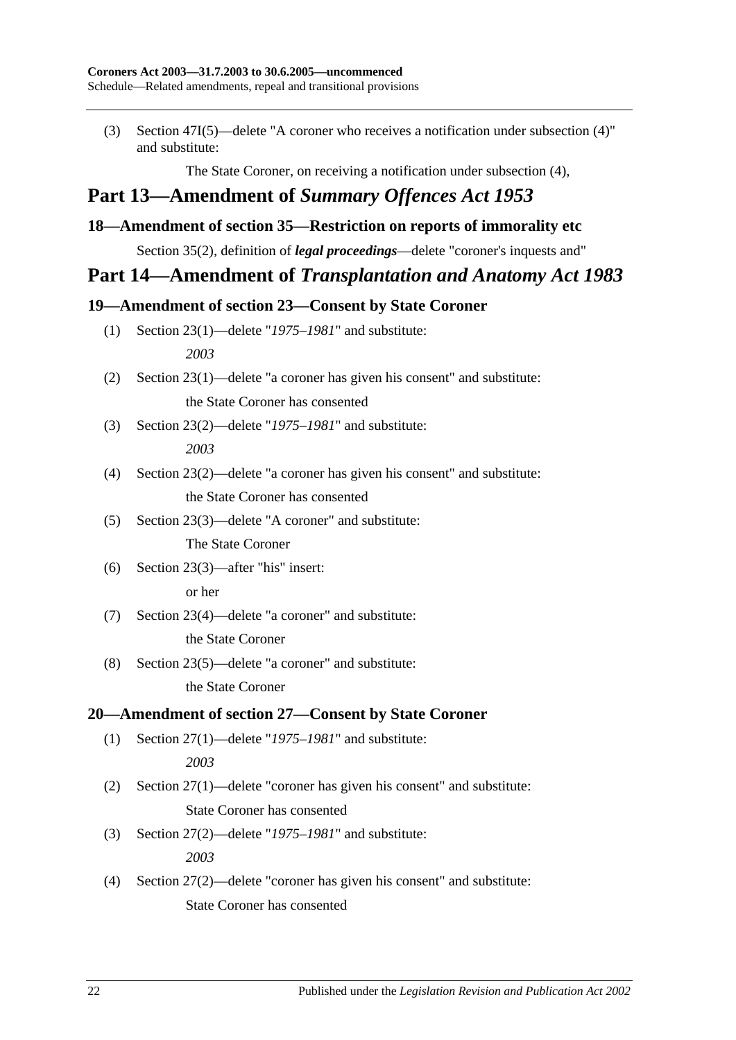(3) Section 47I(5)—delete "A coroner who receives a notification under subsection (4)" and substitute:

The State Coroner, on receiving a notification under subsection (4),

## **Part 13—Amendment of** *Summary Offences Act 1953*

## <span id="page-21-0"></span>**18—Amendment of section 35—Restriction on reports of immorality etc**

Section 35(2), definition of *legal proceedings*—delete "coroner's inquests and"

## **Part 14—Amendment of** *Transplantation and Anatomy Act 1983*

## <span id="page-21-1"></span>**19—Amendment of section 23—Consent by State Coroner**

- (1) Section 23(1)—delete "*1975–1981*" and substitute: *2003*
- (2) Section 23(1)—delete "a coroner has given his consent" and substitute: the State Coroner has consented
- (3) Section 23(2)—delete "*1975–1981*" and substitute: *2003*
- (4) Section 23(2)—delete "a coroner has given his consent" and substitute: the State Coroner has consented
- (5) Section 23(3)—delete "A coroner" and substitute:

The State Coroner

(6) Section 23(3)—after "his" insert:

or her

- (7) Section 23(4)—delete "a coroner" and substitute: the State Coroner
- (8) Section 23(5)—delete "a coroner" and substitute:

the State Coroner

## <span id="page-21-2"></span>**20—Amendment of section 27—Consent by State Coroner**

(1) Section 27(1)—delete "*1975–1981*" and substitute:

*2003*

- (2) Section 27(1)—delete "coroner has given his consent" and substitute: State Coroner has consented
- (3) Section 27(2)—delete "*1975–1981*" and substitute: *2003*
- (4) Section 27(2)—delete "coroner has given his consent" and substitute: State Coroner has consented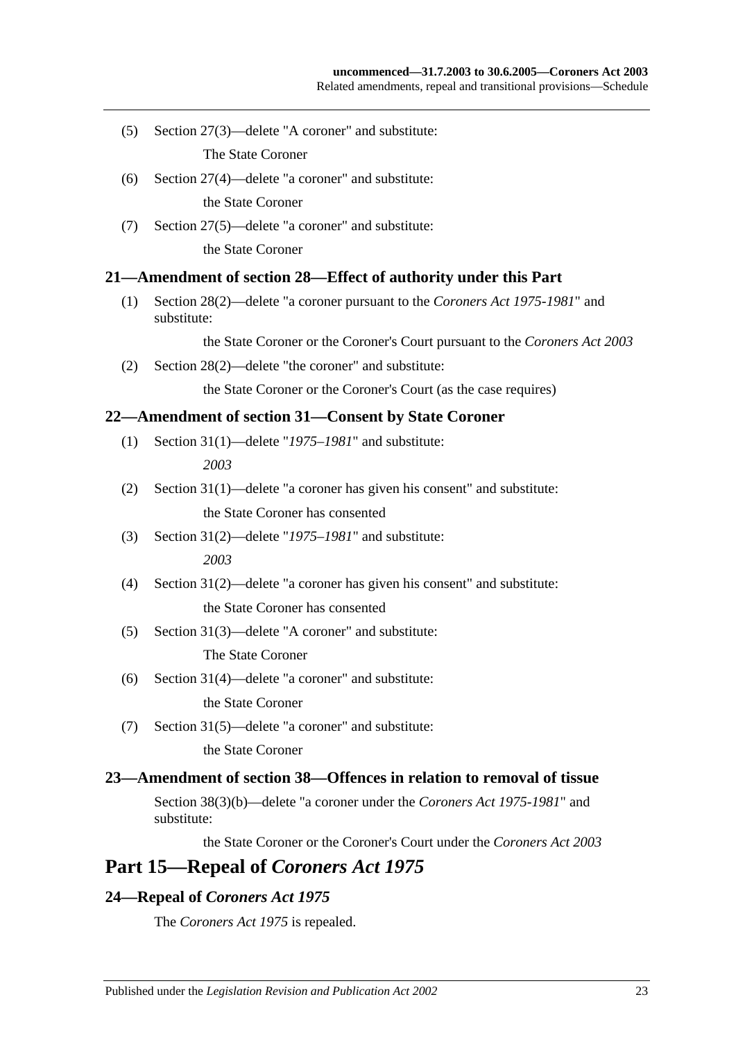(5) Section 27(3)—delete "A coroner" and substitute:

The State Coroner

- (6) Section 27(4)—delete "a coroner" and substitute: the State Coroner
- (7) Section 27(5)—delete "a coroner" and substitute:

the State Coroner

#### <span id="page-22-0"></span>**21—Amendment of section 28—Effect of authority under this Part**

(1) Section 28(2)—delete "a coroner pursuant to the *[Coroners Act](http://www.legislation.sa.gov.au/index.aspx?action=legref&type=act&legtitle=Coroners%20Act%201975-1981) 1975-1981*" and substitute:

the State Coroner or the Coroner's Court pursuant to the *[Coroners Act](http://www.legislation.sa.gov.au/index.aspx?action=legref&type=act&legtitle=Coroners%20Act%202003) 2003*

(2) Section 28(2)—delete "the coroner" and substitute:

the State Coroner or the Coroner's Court (as the case requires)

#### <span id="page-22-1"></span>**22—Amendment of section 31—Consent by State Coroner**

- (1) Section 31(1)—delete "*1975–1981*" and substitute: *2003*
- (2) Section 31(1)—delete "a coroner has given his consent" and substitute: the State Coroner has consented
- (3) Section 31(2)—delete "*1975–1981*" and substitute: *2003*
- (4) Section 31(2)—delete "a coroner has given his consent" and substitute: the State Coroner has consented
- (5) Section 31(3)—delete "A coroner" and substitute:

The State Coroner

(6) Section 31(4)—delete "a coroner" and substitute:

the State Coroner

(7) Section 31(5)—delete "a coroner" and substitute: the State Coroner

#### <span id="page-22-2"></span>**23—Amendment of section 38—Offences in relation to removal of tissue**

Section 38(3)(b)—delete "a coroner under the *[Coroners Act](http://www.legislation.sa.gov.au/index.aspx?action=legref&type=act&legtitle=Coroners%20Act%201975-1981) 1975-1981*" and substitute:

the State Coroner or the Coroner's Court under the *[Coroners Act](http://www.legislation.sa.gov.au/index.aspx?action=legref&type=act&legtitle=Coroners%20Act%202003) 2003*

## **Part 15—Repeal of** *Coroners Act 1975*

## <span id="page-22-3"></span>**24—Repeal of** *Coroners Act 1975*

The *[Coroners Act](http://www.legislation.sa.gov.au/index.aspx?action=legref&type=act&legtitle=Coroners%20Act%201975) 1975* is repealed.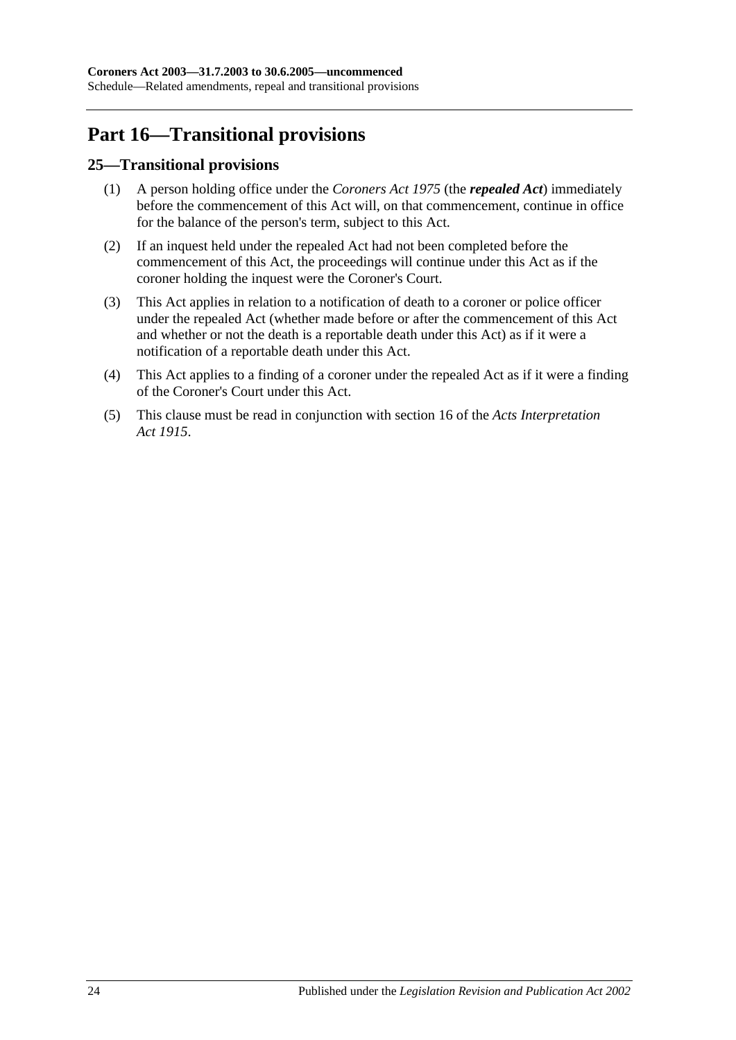## **Part 16—Transitional provisions**

## <span id="page-23-0"></span>**25—Transitional provisions**

- (1) A person holding office under the *[Coroners Act](http://www.legislation.sa.gov.au/index.aspx?action=legref&type=act&legtitle=Coroners%20Act%201975) 1975* (the *repealed Act*) immediately before the commencement of this Act will, on that commencement, continue in office for the balance of the person's term, subject to this Act.
- (2) If an inquest held under the repealed Act had not been completed before the commencement of this Act, the proceedings will continue under this Act as if the coroner holding the inquest were the Coroner's Court.
- (3) This Act applies in relation to a notification of death to a coroner or police officer under the repealed Act (whether made before or after the commencement of this Act and whether or not the death is a reportable death under this Act) as if it were a notification of a reportable death under this Act.
- (4) This Act applies to a finding of a coroner under the repealed Act as if it were a finding of the Coroner's Court under this Act.
- (5) This clause must be read in conjunction with section 16 of the *[Acts Interpretation](http://www.legislation.sa.gov.au/index.aspx?action=legref&type=act&legtitle=Acts%20Interpretation%20Act%201915)  Act [1915](http://www.legislation.sa.gov.au/index.aspx?action=legref&type=act&legtitle=Acts%20Interpretation%20Act%201915)*.